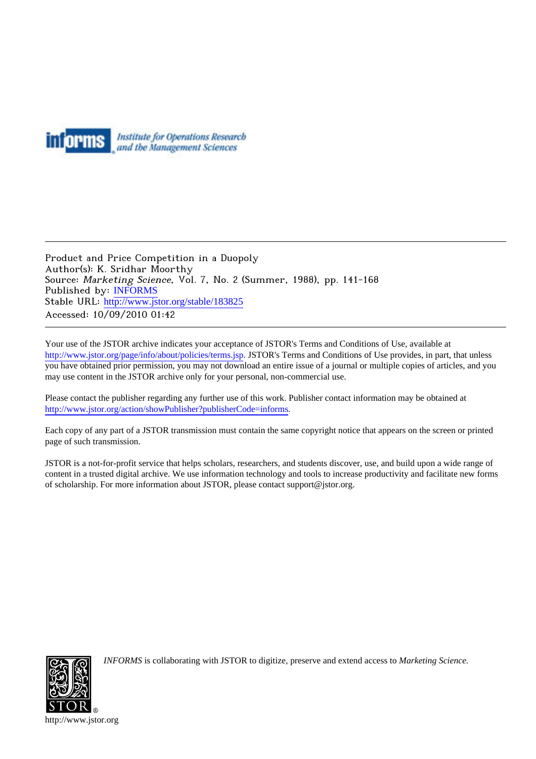

Product and Price Competition in a Duopoly Author(s): K. Sridhar Moorthy Source: Marketing Science, Vol. 7, No. 2 (Summer, 1988), pp. 141-168 Published by: [INFORMS](http://www.jstor.org/action/showPublisher?publisherCode=informs) Stable URL: [http://www.jstor.org/stable/183825](http://www.jstor.org/stable/183825?origin=JSTOR-pdf) Accessed: 10/09/2010 01:42

Your use of the JSTOR archive indicates your acceptance of JSTOR's Terms and Conditions of Use, available at <http://www.jstor.org/page/info/about/policies/terms.jsp>. JSTOR's Terms and Conditions of Use provides, in part, that unless you have obtained prior permission, you may not download an entire issue of a journal or multiple copies of articles, and you may use content in the JSTOR archive only for your personal, non-commercial use.

Please contact the publisher regarding any further use of this work. Publisher contact information may be obtained at <http://www.jstor.org/action/showPublisher?publisherCode=informs>.

Each copy of any part of a JSTOR transmission must contain the same copyright notice that appears on the screen or printed page of such transmission.

JSTOR is a not-for-profit service that helps scholars, researchers, and students discover, use, and build upon a wide range of content in a trusted digital archive. We use information technology and tools to increase productivity and facilitate new forms of scholarship. For more information about JSTOR, please contact support@jstor.org.



*INFORMS* is collaborating with JSTOR to digitize, preserve and extend access to *Marketing Science.*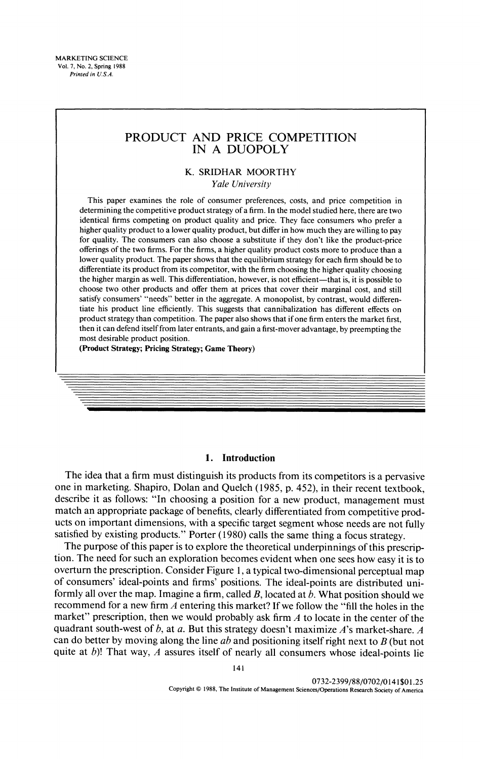# **PRODUCT AND PRICE COMPETITION IN A DUOPOLY**

#### **K. SRIDHAR MOORTHY**

**Yale University** 

**This paper examines the role of consumer preferences, costs, and price competition in determining the competitive product strategy of a firm. In the model studied here, there are two identical firms competing on product quality and price. They face consumers who prefer a higher quality product to a lower quality product, but differ in how much they are willing to pay for quality. The consumers can also choose a substitute if they don't like the product-price offerings of the two firms. For the firms, a higher quality product costs more to produce than a lower quality product. The paper shows that the equilibrium strategy for each firm should be to differentiate its product from its competitor, with the firm choosing the higher quality choosing**  the higher margin as well. This differentiation, however, is not efficient-that is, it is possible to **choose two other products and offer them at prices that cover their marginal cost, and still satisfy consumers' "needs" better in the aggregate. A monopolist, by contrast, would differentiate his product line efficiently. This suggests that cannibalization has different effects on product strategy than competition. The paper also shows that if one firm enters the market first, then it can defend itself from later entrants, and gain a first-mover advantage, by preempting the most desirable product position.** 

**(Product Strategy; Pricing Strategy; Game Theory)** 



#### **1. Introduction**

**The idea that a firm must distinguish its products from its competitors is a pervasive one in marketing. Shapiro, Dolan and Quelch (1985, p. 452), in their recent textbook, describe it as follows: "In choosing a position for a new product, management must match an appropriate package of benefits, clearly differentiated from competitive products on important dimensions, with a specific target segment whose needs are not fully satisfied by existing products." Porter (1980) calls the same thing a focus strategy.** 

**The purpose of this paper is to explore the theoretical underpinnings of this prescription. The need for such an exploration becomes evident when one sees how easy it is to overturn the prescription. Consider Figure 1, a typical two-dimensional perceptual map of consumers' ideal-points and firms' positions. The ideal-points are distributed uniformly all over the map. Imagine a firm, called B, located at b. What position should we recommend for a new firm A entering this market? If we follow the "fill the holes in the**  market" prescription, then we would probably ask firm A to locate in the center of the **quadrant south-west of b, at a. But this strategy doesn't maximize A's market-share. A can do better by moving along the line ab and positioning itself right next to B (but not quite at b)! That way, A assures itself of nearly all consumers whose ideal-points lie**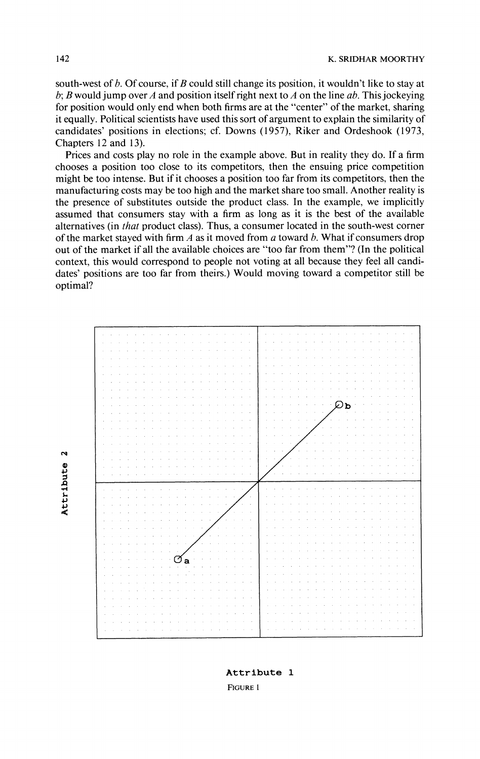**south-west of b. Of course, if B could still change its position, it wouldn't like to stay at b; B would jump over A and position itself right next to A on the line ab. This jockeying for position would only end when both firms are at the "center" of the market, sharing it equally. Political scientists have used this sort of argument to explain the similarity of candidates' positions in elections; cf. Downs (1957), Riker and Ordeshook (1973, Chapters 12 and 13).** 

**Prices and costs play no role in the example above. But in reality they do. If a firm chooses a position too close to its competitors, then the ensuing price competition might be too intense. But if it chooses a position too far from its competitors, then the manufacturing costs may be too high and the market share too small. Another reality is the presence of substitutes outside the product class. In the example, we implicitly assumed that consumers stay with a firm as long as it is the best of the available alternatives (in that product class). Thus, a consumer located in the south-west corner of the market stayed with firm A as it moved from a toward b. What if consumers drop out of the market if all the available choices are "too far from them"? (In the political context, this would correspond to people not voting at all because they feel all candidates' positions are too far from theirs.) Would moving toward a competitor still be optimal?** 



**Attribute 1 FIGURE 1**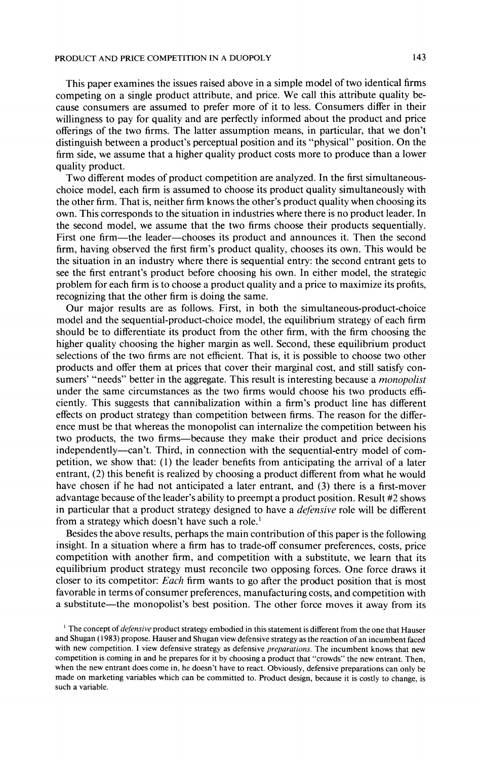**This paper examines the issues raised above in a simple model of two identical firms competing on a single product attribute, and price. We call this attribute quality because consumers are assumed to prefer more of it to less. Consumers differ in their willingness to pay for quality and are perfectly informed about the product and price offerings of the two firms. The latter assumption means, in particular, that we don't distinguish between a product's perceptual position and its "physical" position. On the firm side, we assume that a higher quality product costs more to produce than a lower quality product.** 

**Two different modes of product competition are analyzed. In the first simultaneouschoice model, each firm is assumed to choose its product quality simultaneously with the other firm. That is, neither firm knows the other's product quality when choosing its own. This corresponds to the situation in industries where there is no product leader. In the second model, we assume that the two firms choose their products sequentially.**  First one firm-the leader-chooses its product and announces it. Then the second **firm, having observed the first firm's product quality, chooses its own. This would be the situation in an industry where there is sequential entry: the second entrant gets to see the first entrant's product before choosing his own. In either model, the strategic problem for each firm is to choose a product quality and a price to maximize its profits, recognizing that the other firm is doing the same.** 

**Our major results are as follows. First, in both the simultaneous-product-choice model and the sequential-product-choice model, the equilibrium strategy of each firm should be to differentiate its product from the other firm, with the firm choosing the higher quality choosing the higher margin as well. Second, these equilibrium product selections of the two firms are not efficient. That is, it is possible to choose two other products and offer them at prices that cover their marginal cost, and still satisfy consumers' "needs" better in the aggregate. This result is interesting because a monopolist under the same circumstances as the two firms would choose his two products efficiently. This suggests that cannibalization within a firm's product line has different effects on product strategy than competition between firms. The reason for the difference must be that whereas the monopolist can internalize the competition between his two products, the two firms-because they make their product and price decisions**  independently—can't. Third, in connection with the sequential-entry model of com**petition, we show that: (1) the leader benefits from anticipating the arrival of a later entrant, (2) this benefit is realized by choosing a product different from what he would have chosen if he had not anticipated a later entrant, and (3) there is a first-mover advantage because of the leader's ability to preempt a product position. Result #2 shows in particular that a product strategy designed to have a defensive role will be different from a strategy which doesn't have such a role.1** 

**Besides the above results, perhaps the main contribution of this paper is the following insight. In a situation where a firm has to trade-off consumer preferences, costs, price competition with another firm, and competition with a substitute, we learn that its equilibrium product strategy must reconcile two opposing forces. One force draws it closer to its competitor: Each firm wants to go after the product position that is most favorable in terms of consumer preferences, manufacturing costs, and competition with a substitute-the monopolist's best position. The other force moves it away from its** 

**<sup>&#</sup>x27; The concept of defensive product strategy embodied in this statement is different from the one that Hauser and Shugan (1983) propose. Hauser and Shugan view defensive strategy as the reaction of an incumbent faced with new competition. I view defensive strategy as defensive preparations. The incumbent knows that new competition is coming in and he prepares for it by choosing a product that "crowds" the new entrant. Then, when the new entrant does come in, he doesn't have to react. Obviously, defensive preparations can only be made on marketing variables which can be committed to. Product design, because it is costly to change, is such a variable.**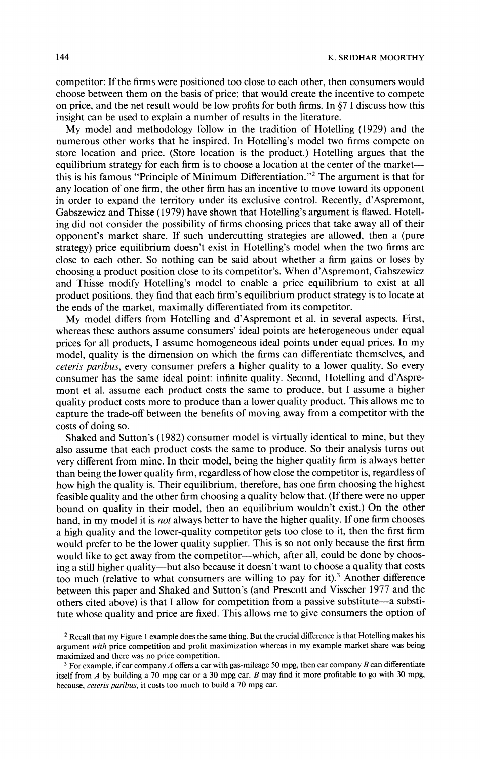**competitor: If the firms were positioned too close to each other, then consumers would choose between them on the basis of price; that would create the incentive to compete**  on price, and the net result would be low profits for both firms. In §7 I discuss how this **insight can be used to explain a number of results in the literature.** 

**My model and methodology follow in the tradition of Hotelling (1929) and the numerous other works that he inspired. In Hotelling's model two firms compete on store location and price. (Store location is the product.) Hotelling argues that the equilibrium strategy for each firm is to choose a location at the center of the marketthis is his famous "Principle of Minimum Differentiation."2 The argument is that for any location of one firm, the other firm has an incentive to move toward its opponent in order to expand the territory under its exclusive control. Recently, d'Aspremont, Gabszewicz and Thisse (1979) have shown that Hotelling's argument is flawed. Hotelling did not consider the possibility of firms choosing prices that take away all of their opponent's market share. If such undercutting strategies are allowed, then a (pure strategy) price equilibrium doesn't exist in Hotelling's model when the two firms are close to each other. So nothing can be said about whether a firm gains or loses by choosing a product position close to its competitor's. When d'Aspremont, Gabszewicz and Thisse modify Hotelling's model to enable a price equilibrium to exist at all product positions, they find that each firm's equilibrium product strategy is to locate at the ends of the market, maximally differentiated from its competitor.** 

**My model differs from Hotelling and d'Aspremont et al. in several aspects. First, whereas these authors assume consumers' ideal points are heterogeneous under equal prices for all products, I assume homogeneous ideal points under equal prices. In my model, quality is the dimension on which the firms can differentiate themselves, and ceteris paribus, every consumer prefers a higher quality to a lower quality. So every consumer has the same ideal point: infinite quality. Second, Hotelling and d'Aspremont et al. assume each product costs the same to produce, but I assume a higher quality product costs more to produce than a lower quality product. This allows me to capture the trade-off between the benefits of moving away from a competitor with the costs of doing so.** 

**Shaked and Sutton's (1982) consumer model is virtually identical to mine, but they also assume that each product costs the same to produce. So their analysis turns out very different from mine. In their model, being the higher quality firm is always better than being the lower quality firm, regardless of how close the competitor is, regardless of how high the quality is. Their equilibrium, therefore, has one firm choosing the highest feasible quality and the other firm choosing a quality below that. (If there were no upper bound on quality in their model, then an equilibrium wouldn't exist.) On the other hand, in my model it is not always better to have the higher quality. If one firm chooses a high quality and the lower-quality competitor gets too close to it, then the first firm would prefer to be the lower quality supplier. This is so not only because the first firm**  would like to get away from the competitor—which, after all, could be done by choos**ing a still higher quality-but also because it doesn't want to choose a quality that costs too much (relative to what consumers are willing to pay for it).3 Another difference between this paper and Shaked and Sutton's (and Prescott and Visscher 1977 and the others cited above) is that I allow for competition from a passive substitute-a substitute whose quality and price are fixed. This allows me to give consumers the option of** 

**<sup>2</sup>Recall that my Figure 1 example does the same thing. But the crucial difference is that Hotelling makes his argument with price competition and profit maximization whereas in my example market share was being maximized and there was no price competition.** 

**<sup>3</sup> For example, if car company A offers a car with gas-mileage 50 mpg, then car company B can differentiate itself from A by building a 70 mpg car or a 30 mpg car. B may find it more profitable to go with 30 mpg, because, ceteris paribus, it costs too much to build a 70 mpg car.**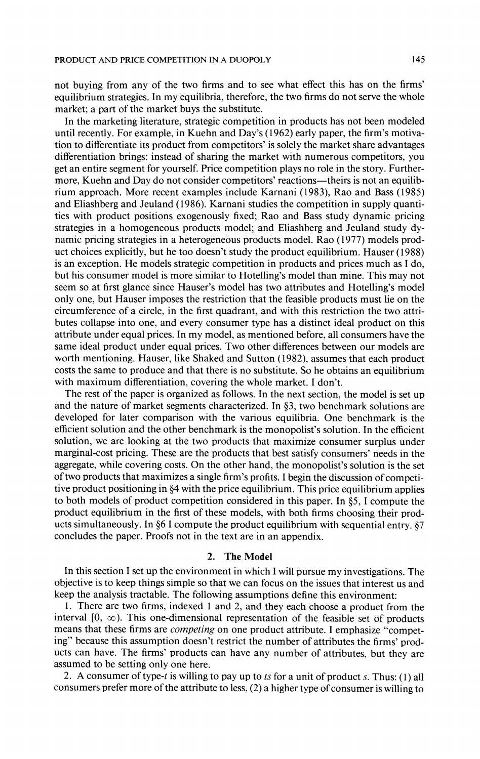**not buying from any of the two firms and to see what effect this has on the firms' equilibrium strategies. In my equilibria, therefore, the two firms do not serve the whole market; a part of the market buys the substitute.** 

**In the marketing literature, strategic competition in products has not been modeled until recently. For example, in Kuehn and Day's (1962) early paper, the firm's motivation to differentiate its product from competitors' is solely the market share advantages differentiation brings: instead of sharing the market with numerous competitors, you get an entire segment for yourself. Price competition plays no role in the story. Further**more, Kuehn and Day do not consider competitors' reactions---theirs is not an equilib**rium approach. More recent examples include Karnani (1983), Rao and Bass (1985) and Eliashberg and Jeuland (1986). Karnani studies the competition in supply quantities with product positions exogenously fixed; Rao and Bass study dynamic pricing strategies in a homogeneous products model; and Eliashberg and Jeuland study dynamic pricing strategies in a heterogeneous products model. Rao (1977) models product choices explicitly, but he too doesn't study the product equilibrium. Hauser (1988) is an exception. He models strategic competition in products and prices much as I do, but his consumer model is more similar to Hotelling's model than mine. This may not seem so at first glance since Hauser's model has two attributes and Hotelling's model only one, but Hauser imposes the restriction that the feasible products must lie on the circumference of a circle, in the first quadrant, and with this restriction the two attributes collapse into one, and every consumer type has a distinct ideal product on this attribute under equal prices. In my model, as mentioned before, all consumers have the same ideal product under equal prices. Two other differences between our models are worth mentioning. Hauser, like Shaked and Sutton (1982), assumes that each product costs the same to produce and that there is no substitute. So he obtains an equilibrium with maximum differentiation, covering the whole market. I don't.** 

**The rest of the paper is organized as follows. In the next section, the model is set up**  and the nature of market segments characterized. In §3, two benchmark solutions are **developed for later comparison with the various equilibria. One benchmark is the efficient solution and the other benchmark is the monopolist's solution. In the efficient solution, we are looking at the two products that maximize consumer surplus under marginal-cost pricing. These are the products that best satisfy consumers' needs in the aggregate, while covering costs. On the other hand, the monopolist's solution is the set of two products that maximizes a single firm's profits. I begin the discussion of competitive product positioning in ?4 with the price equilibrium. This price equilibrium applies**  to both models of product competition considered in this paper. In §5, I compute the **product equilibrium in the first of these models, with both firms choosing their prod**ucts simultaneously. In §6 I compute the product equilibrium with sequential entry. §7 **concludes the paper. Proofs not in the text are in an appendix.** 

### **2. The Model**

**In this section I set up the environment in which I will pursue my investigations. The objective is to keep things simple so that we can focus on the issues that interest us and keep the analysis tractable. The following assumptions define this environment:** 

**1. There are two firms, indexed 1 and 2, and they each choose a product from the**  interval  $[0, \infty)$ . This one-dimensional representation of the feasible set of products means that these firms are *competing* on one product attribute. I emphasize "compet**ing" because this assumption doesn't restrict the number of attributes the firms' products can have. The firms' products can have any number of attributes, but they are assumed to be setting only one here.** 

**2. A consumer of type-t is willing to pay up to ts for a unit of product s. Thus: (1) all consumers prefer more of the attribute to less, (2) a higher type of consumer is willing to**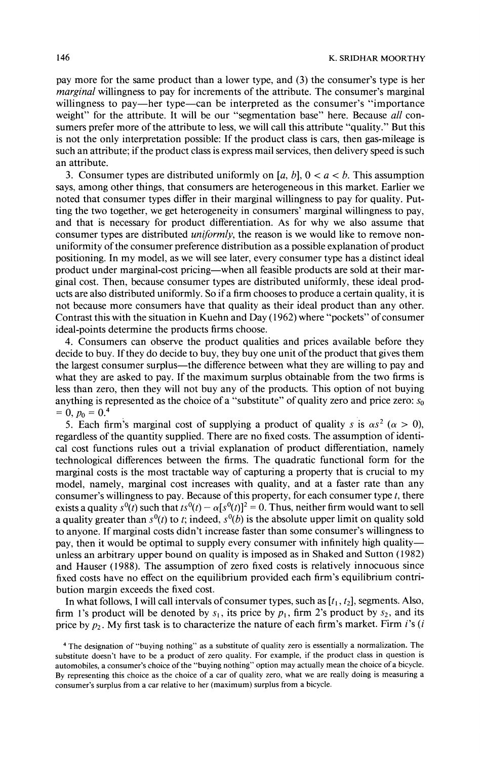**pay more for the same product than a lower type, and (3) the consumer's type is her marginal willingness to pay for increments of the attribute. The consumer's marginal willingness to pay-her type-can be interpreted as the consumer's "importance**  weight" for the attribute. It will be our "segmentation base" here. Because all con**sumers prefer more of the attribute to less, we will call this attribute "quality." But this is not the only interpretation possible: If the product class is cars, then gas-mileage is such an attribute; if the product class is express mail services, then delivery speed is such an attribute.** 

**3. Consumer types are distributed uniformly on [a, b],**  $0 < a < b$ **. This assumption says, among other things, that consumers are heterogeneous in this market. Earlier we noted that consumer types differ in their marginal willingness to pay for quality. Putting the two together, we get heterogeneity in consumers' marginal willingness to pay, and that is necessary for product differentiation. As for why we also assume that consumer types are distributed uniformly, the reason is we would like to remove nonuniformity of the consumer preference distribution as a possible explanation of product positioning. In my model, as we will see later, every consumer type has a distinct ideal product under marginal-cost pricing-when all feasible products are sold at their marginal cost. Then, because consumer types are distributed uniformly, these ideal products are also distributed uniformly. So if a firm chooses to produce a certain quality, it is not because more consumers have that quality as their ideal product than any other. Contrast this with the situation in Kuehn and Day (1962) where "pockets" of consumer ideal-points determine the products firms choose.** 

**4. Consumers can observe the product qualities and prices available before they decide to buy. If they do decide to buy, they buy one unit of the product that gives them**  the largest consumer surplus—the difference between what they are willing to pay and **what they are asked to pay. If the maximum surplus obtainable from the two firms is less than zero, then they will not buy any of the products. This option of not buying anything is represented as the choice of a "substitute" of quality zero and price zero: So**   $= 0, p_0 = 0.^4$ 

5. Each firm's marginal cost of supplying a product of quality s is  $\alpha s^2$  ( $\alpha > 0$ ), **regardless of the quantity supplied. There are no fixed costs. The assumption of identical cost functions rules out a trivial explanation of product differentiation, namely technological differences between the firms. The quadratic functional form for the marginal costs is the most tractable way of capturing a property that is crucial to my model, namely, marginal cost increases with quality, and at a faster rate than any consumer's willingness to pay. Because of this property, for each consumer type t, there**  exists a quality  $s^0(t)$  such that  $ts^0(t) - \alpha [s^0(t)]^2 = 0$ . Thus, neither firm would want to sell **a** quality greater than  $s^0(t)$  to t; indeed,  $s^0(b)$  is the absolute upper limit on quality sold **to anyone. If marginal costs didn't increase faster than some consumer's willingness to pay, then it would be optimal to supply every consumer with infinitely high qualityunless an arbitrary upper bound on quality is imposed as in Shaked and Sutton (1982) and Hauser (1988). The assumption of zero fixed costs is relatively innocuous since fixed costs have no effect on the equilibrium provided each firm's equilibrium contribution margin exceeds the fixed cost.** 

In what follows, I will call intervals of consumer types, such as  $[t_1, t_2]$ , segments. Also, firm 1's product will be denoted by  $s_1$ , its price by  $p_1$ , firm 2's product by  $s_2$ , and its price by  $p_2$ . My first task is to characterize the nature of each firm's market. Firm *i*'s (*i* 

**<sup>4</sup>The designation of "buying nothing" as a substitute of quality zero is essentially a normalization. The substitute doesn't have to be a product of zero quality. For example, if the product class in question is automobiles, a consumer's choice of the "buying nothing" option may actually mean the choice of a bicycle. By representing this choice as the choice of a car of quality zero, what we are really doing is measuring a consumer's surplus from a car relative to her (maximum) surplus from a bicycle.**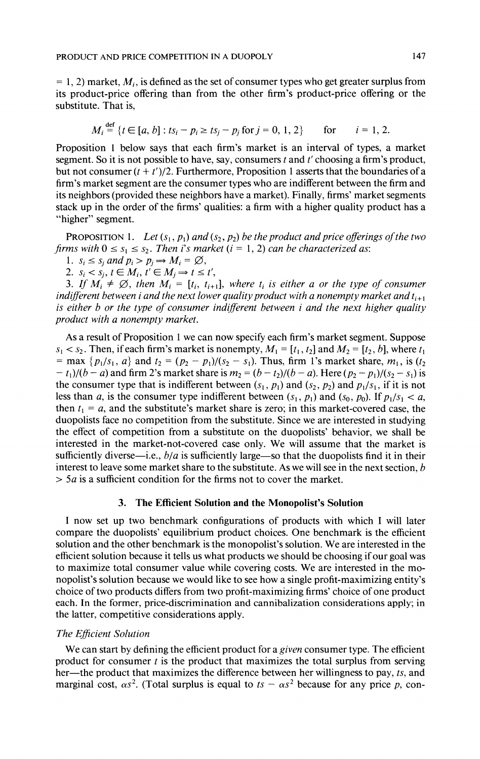$= 1, 2$ ) market,  $M_i$ , is defined as the set of consumer types who get greater surplus from **its product-price offering than from the other firm's product-price offering or the substitute. That is,** 

$$
M_i \stackrel{\text{def}}{=} \{t \in [a, b] : ts_i - p_i \ge ts_j - p_j \text{ for } j = 0, 1, 2\} \quad \text{for} \quad i = 1, 2.
$$

**Proposition 1 below says that each firm's market is an interval of types, a market segment. So it is not possible to have, say, consumers t and t' choosing a firm's product,**  but not consumer  $(t + t')/2$ . Furthermore, Proposition 1 asserts that the boundaries of a **firm's market segment are the consumer types who are indifferent between the firm and its neighbors (provided these neighbors have a market). Finally, firms' market segments stack up in the order of the firms' qualities: a firm with a higher quality product has a "higher" segment.** 

**PROPOSITION 1.** Let  $(s_1, p_1)$  and  $(s_2, p_2)$  be the product and price offerings of the two firms with  $0 \le s_1 \le s_2$ . Then i's market (i = 1, 2) can be characterized as:

1.  $s_i \leq s_i$  and  $p_i > p_j \Rightarrow M_i = \emptyset$ ,

 $\overline{1}$ 

2.  $s_i < s_i$ ,  $t \in M_i$ ,  $t' \in M_i \Rightarrow t \leq t'$ ,

**3.** If  $M_i \neq \emptyset$ , then  $M_i = [t_i, t_{i+1}]$ , where  $t_i$  is either a or the type of consumer indifferent between *i* and the next lower quality product with a nonempty market and  $t_{i+1}$ **is either b or the type of consumer indifferent between i and the next higher quality product with a nonempty market.** 

**As a result of Proposition 1 we can now specify each firm's market segment. Suppose**   $s_1 < s_2$ . Then, if each firm's market is nonempty,  $M_1 = [t_1, t_2]$  and  $M_2 = [t_2, b]$ , where  $t_1$  $=$  max { $p_1/s_1$ ,  $a$ } and  $t_2 = (p_2 - p_1)/(s_2 - s_1)$ . Thus, firm 1's market share,  $m_1$ , is ( $t_2$  $(t-t_1)/(b-a)$  and firm 2's market share is  $m_2 = (b-t_2)/(b-a)$ . Here  $(p_2 - p_1)/(s_2 - s_1)$  is the consumer type that is indifferent between  $(s_1, p_1)$  and  $(s_2, p_2)$  and  $p_1/s_1$ , if it is not less than a, is the consumer type indifferent between  $(s_1, p_1)$  and  $(s_0, p_0)$ . If  $p_1/s_1 < a$ , then  $t_1 = a$ , and the substitute's market share is zero; in this market-covered case, the **duopolists face no competition from the substitute. Since we are interested in studying the effect of competition from a substitute on the duopolists' behavior, we shall be interested in the market-not-covered case only. We will assume that the market is**  sufficiently diverse—i.e.,  $b/a$  is sufficiently large—so that the duopolists find it in their **interest to leave some market share to the substitute. As we will see in the next section, b > 5a is a sufficient condition for the firms not to cover the market.** 

# **3. The Efficient Solution and the Monopolist's Solution**

**I now set up two benchmark configurations of products with which I will later compare the duopolists' equilibrium product choices. One benchmark is the efficient solution and the other benchmark is the monopolist's solution. We are interested in the efficient solution because it tells us what products we should be choosing if our goal was to maximize total consumer value while covering costs. We are interested in the monopolist's solution because we would like to see how a single profit-maximizing entity's choice of two products differs from two profit-maximizing firms' choice of one product each. In the former, price-discrimination and cannibalization considerations apply; in the latter, competitive considerations apply.** 

# **The Efficient Solution**

**We can start by defining the efficient product for a given consumer type. The efficient**  product for consumer  $t$  is the product that maximizes the total surplus from serving her—the product that maximizes the difference between her willingness to pay, ts, and **marginal cost,**  $\alpha s^2$ **. (Total surplus is equal to**  $ts - \alpha s^2$  **because for any price p, con-**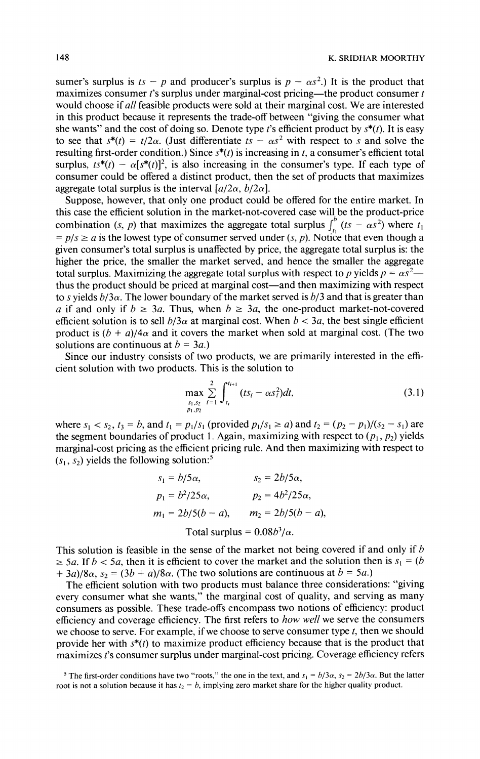sumer's surplus is  $ts - p$  and producer's surplus is  $p - \alpha s^2$ .) It is the product that maximizes consumer t's surplus under marginal-cost pricing—the product consumer t **would choose if all feasible products were sold at their marginal cost. We are interested in this product because it represents the trade-off between "giving the consumer what**  she wants" and the cost of doing so. Denote type *t*'s efficient product by  $s^*(t)$ . It is easy to see that  $s^*(t) = t/2\alpha$ . (Just differentiate  $ts - \alpha s^2$  with respect to s and solve the resulting first-order condition.) Since  $s^*(t)$  is increasing in t, a consumer's efficient total surplus,  $ts^*(t) - \alpha[s^*(t)]^2$ , is also increasing in the consumer's type. If each type of **consumer could be offered a distinct product, then the set of products that maximizes**  aggregate total surplus is the interval  $\left[a/2\alpha, b/2\alpha\right]$ .

**Suppose, however, that only one product could be offered for the entire market. In**  this case the efficient solution in the market-not-covered case will be the product-price combination (s, p) that maximizes the aggregate total surplus  $\int_{t_1}^{t_2} (ts - \alpha s^2)$  where  $t_1$  $=p/s \ge a$  is the lowest type of consumer served under  $(s, p)$ . Notice that even though a **given consumer's total surplus is unaffected by price, the aggregate total surplus is: the higher the price, the smaller the market served, and hence the smaller the aggregate**  total surplus. Maximizing the aggregate total surplus with respect to p yields  $p = \alpha s^2$  **thus the product should be priced at marginal cost-and then maximizing with respect**  to s yields  $b/3\alpha$ . The lower boundary of the market served is  $b/3$  and that is greater than a if and only if  $b \geq 3a$ . Thus, when  $b \geq 3a$ , the one-product market-not-covered efficient solution is to sell  $b/3\alpha$  at marginal cost. When  $b < 3a$ , the best single efficient product is  $(b + a)/4\alpha$  and it covers the market when sold at marginal cost. (The two solutions are continuous at  $b = 3a$ .)

**Since our industry consists of two products, we are primarily interested in the efficient solution with two products. This is the solution to** 

$$
\max_{\substack{s_1,s_2 \ s_1>1}} \sum_{i=1}^{2} \int_{t_i}^{t_{i+1}} (ts_i - \alpha s_i^2) dt, \tag{3.1}
$$

where  $s_1 < s_2$ ,  $t_3 = b$ , and  $t_1 = p_1/s_1$  (provided  $p_1/s_1 \ge a$ ) and  $t_2 = (p_2 - p_1)/(s_2 - s_1)$  are the segment boundaries of product 1. Again, maximizing with respect to  $(p_1, p_2)$  yields **marginal-cost pricing as the efficient pricing rule. And then maximizing with respect to**   $(s_1, s_2)$  yields the following solution:<sup>5</sup>

$$
s_1 = b/5\alpha, \qquad s_2 = 2b/5\alpha,
$$
  
\n
$$
p_1 = b^2/25\alpha, \qquad p_2 = 4b^2/25\alpha,
$$
  
\n
$$
m_1 = 2b/5(b - a), \qquad m_2 = 2b/5(b - a),
$$
  
\nTotal surplus =  $0.08b^3/\alpha$ .

**This solution is feasible in the sense of the market not being covered if and only if b**   $\geq 5a$ . If  $b < 5a$ , then it is efficient to cover the market and the solution then is  $s_1 = (b$  $+ 3a/8\alpha$ ,  $s_2 = (3b + a)/8\alpha$ . (The two solutions are continuous at  $b = 5a$ .)

**The efficient solution with two products must balance three considerations: "giving every consumer what she wants," the marginal cost of quality, and serving as many consumers as possible. These trade-offs encompass two notions of efficiency: product efficiency and coverage efficiency. The first refers to how well we serve the consumers**  we choose to serve. For example, if we choose to serve consumer type t, then we should provide her with  $s^*(t)$  to maximize product efficiency because that is the product that **maximizes t's consumer surplus under marginal-cost pricing. Coverage efficiency refers** 

<sup>5</sup> The first-order conditions have two "roots," the one in the text, and  $s_1 = b/3\alpha$ ,  $s_2 = 2b/3\alpha$ . But the latter root is not a solution because it has  $t_2 = b$ , implying zero market share for the higher quality product.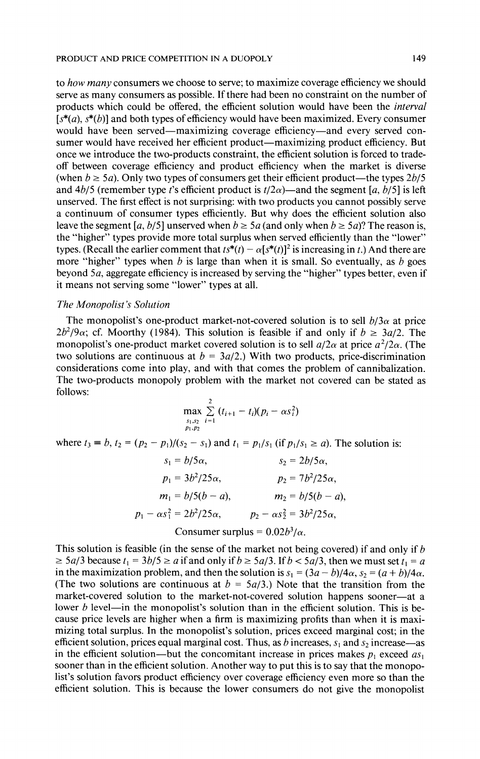**to how many consumers we choose to serve; to maximize coverage efficiency we should serve as many consumers as possible. If there had been no constraint on the number of products which could be offered, the efficient solution would have been the interval [s\*(a), s\*(b)] and both types of efficiency would have been maximized. Every consumer**  would have been served—maximizing coverage efficiency—and every served consumer would have received her efficient product-maximizing product efficiency. But **once we introduce the two-products constraint, the efficient solution is forced to tradeoff between coverage efficiency and product efficiency when the market is diverse**  (when  $b \ge 5a$ ). Only two types of consumers get their efficient product—the types  $2b/5$ and  $4b/5$  (remember type t's efficient product is  $t/2\alpha$ )—and the segment [a, b/5] is left **unserved. The first effect is not surprising: with two products you cannot possibly serve a continuum of consumer types efficiently. But why does the efficient solution also**  leave the segment [a, b/5] unserved when  $b \ge 5a$  (and only when  $b \ge 5a$ )? The reason is, **the "higher" types provide more total surplus when served efficiently than the "lower"**  types. (Recall the earlier comment that  $ts^*(t) - \alpha[s^*(t)]^2$  is increasing in t.) And there are **more "higher" types when b is large than when it is small. So eventually, as b goes beyond 5a, aggregate efficiency is increased by serving the "higher" types better, even if it means not serving some "lower" types at all.** 

# **The Monopolist's Solution**

The monopolist's one-product market-not-covered solution is to sell  $b/3\alpha$  at price  $2b^2/9\alpha$ ; cf. Moorthy (1984). This solution is feasible if and only if  $b \ge 3a/2$ . The **monopolist's one-product market covered solution is to sell**  $a/2\alpha$  **at price**  $a^2/2\alpha$ **. (The** two solutions are continuous at  $b = 3a/2$ .) With two products, price-discrimination **considerations come into play, and with that comes the problem of cannibalization. The two-products monopoly problem with the market not covered can be stated as follows:** 

$$
\max_{\substack{s_1,s_2\\p_1,p_2}}\frac{2}{i-1}(t_{i+1}-t_i)(p_i-\alpha s_i^2)
$$

where  $t_3 = b$ ,  $t_2 = (p_2 - p_1)/(s_2 - s_1)$  and  $t_1 = p_1/s_1$  (if  $p_1/s_1 \ge a$ ). The solution is:

$$
s_1 = b/5\alpha, \t s_2 = 2b/5\alpha,
$$
  
\n
$$
p_1 = 3b^2/25\alpha, \t p_2 = 7b^2/25\alpha,
$$
  
\n
$$
m_1 = b/5(b - a), \t m_2 = b/5(b - a),
$$
  
\n
$$
p_1 - \alpha s_1^2 = 2b^2/25\alpha, \t p_2 - \alpha s_2^2 = 3b^2/25\alpha,
$$

Consumer surplus =  $0.02b^3/\alpha$ .

**This solution is feasible (in the sense of the market not being covered) if and only if b**   $\geq 5a/3$  because  $t_1 = 3b/5 \geq a$  if and only if  $b \geq 5a/3$ . If  $b < 5a/3$ , then we must set  $t_1 = a$ in the maximization problem, and then the solution is  $s_1 = (3a - b)/4\alpha$ ,  $s_2 = (a + b)/4\alpha$ . (The two solutions are continuous at  $b = 5a/3$ .) Note that the transition from the **market-covered solution to the market-not-covered solution happens sooner-at a**  lower *b* level—in the monopolist's solution than in the efficient solution. This is be**cause price levels are higher when a firm is maximizing profits than when it is maximizing total surplus. In the monopolist's solution, prices exceed marginal cost; in the**  efficient solution, prices equal marginal cost. Thus, as b increases,  $s_1$  and  $s_2$  increase—as in the efficient solution—but the concomitant increase in prices makes  $p_1$  exceed  $a s_1$ **sooner than in the efficient solution. Another way to put this is to say that the monopolist's solution favors product efficiency over coverage efficiency even more so than the efficient solution. This is because the lower consumers do not give the monopolist**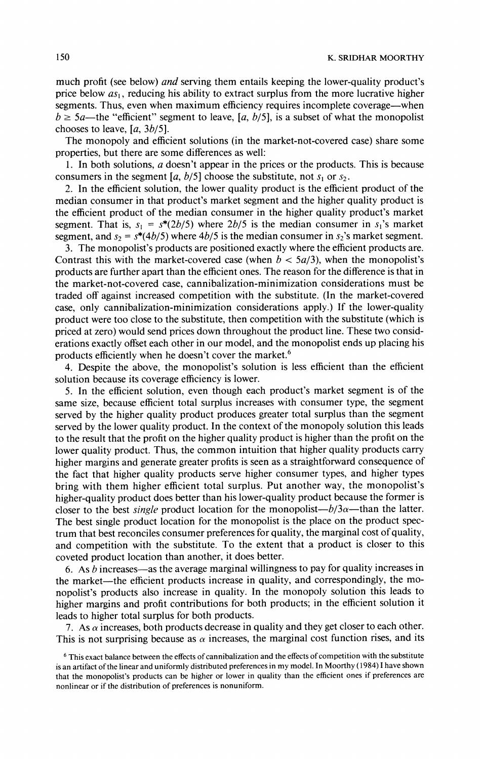**much profit (see below) and serving them entails keeping the lower-quality product's**  price below  $as_1$ , reducing his ability to extract surplus from the more lucrative higher **segments. Thus, even when maximum efficiency requires incomplete coverage-when**   $b \geq 5a$ —the "efficient" segment to leave, [a, b/5], is a subset of what the monopolist **chooses to leave, [a, 3b/5].** 

**The monopoly and efficient solutions (in the market-not-covered case) share some properties, but there are some differences as well:** 

**1. In both solutions, a doesn't appear in the prices or the products. This is because**  consumers in the segment [a,  $b/5$ ] choose the substitute, not  $s_1$  or  $s_2$ .

**2. In the efficient solution, the lower quality product is the efficient product of the median consumer in that product's market segment and the higher quality product is the efficient product of the median consumer in the higher quality product's market**  segment. That is,  $s_1 = s^*(2b/5)$  where  $2b/5$  is the median consumer in  $s_1$ 's market segment, and  $s_2 = s^*(4b/5)$  where  $4b/5$  is the median consumer in  $s_2$ 's market segment.

**3. The monopolist's products are positioned exactly where the efficient products are.**  Contrast this with the market-covered case (when  $b < 5a/3$ ), when the monopolist's **products are further apart than the efficient ones. The reason for the difference is that in the market-not-covered case, cannibalization-minimization considerations must be traded off against increased competition with the substitute. (In the market-covered case, only cannibalization-minimization considerations apply.) If the lower-quality product were too close to the substitute, then competition with the substitute (which is priced at zero) would send prices down throughout the product line. These two considerations exactly offset each other in our model, and the monopolist ends up placing his products efficiently when he doesn't cover the market.6** 

**4. Despite the above, the monopolist's solution is less efficient than the efficient solution because its coverage efficiency is lower.** 

**5. In the efficient solution, even though each product's market segment is of the same size, because efficient total surplus increases with consumer type, the segment served by the higher quality product produces greater total surplus than the segment served by the lower quality product. In the context of the monopoly solution this leads to the result that the profit on the higher quality product is higher than the profit on the lower quality product. Thus, the common intuition that higher quality products carry higher margins and generate greater profits is seen as a straightforward consequence of the fact that higher quality products serve higher consumer types, and higher types bring with them higher efficient total surplus. Put another way, the monopolist's higher-quality product does better than his lower-quality product because the former is**  closer to the best *single* product location for the monopolist— $b/3\alpha$ —than the latter. **The best single product location for the monopolist is the place on the product spectrum that best reconciles consumer preferences for quality, the marginal cost of quality, and competition with the substitute. To the extent that a product is closer to this coveted product location than another, it does better.** 

**6. As b increases-as the average marginal willingness to pay for quality increases in**  the market—the efficient products increase in quality, and correspondingly, the mo**nopolist's products also increase in quality. In the monopoly solution this leads to higher margins and profit contributions for both products; in the efficient solution it leads to higher total surplus for both products.** 

7. As  $\alpha$  increases, both products decrease in quality and they get closer to each other. This is not surprising because as  $\alpha$  increases, the marginal cost function rises, and its

**<sup>6</sup>This exact balance between the effects of cannibalization and the effects of competition with the substitute is an artifact of the linear and uniformly distributed preferences in my model. In Moorthy (1984) I have shown that the monopolist's products can be higher or lower in quality than the efficient ones if preferences are nonlinear or if the distribution of preferences is nonuniform.**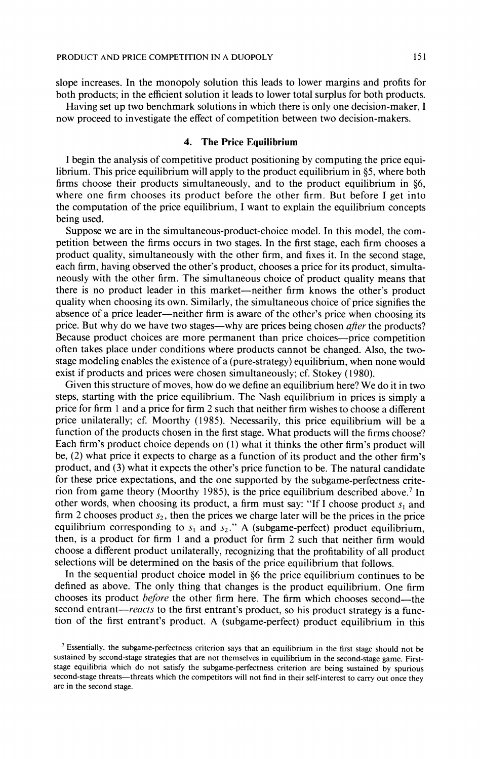**slope increases. In the monopoly solution this leads to lower margins and profits for both products; in the efficient solution it leads to lower total surplus for both products.** 

**Having set up two benchmark solutions in which there is only one decision-maker, I now proceed to investigate the effect of competition between two decision-makers.** 

# **4. The Price Equilibrium**

**I begin the analysis of competitive product positioning by computing the price equilibrium. This price equilibrium will apply to the product equilibrium in ?5, where both firms choose their products simultaneously, and to the product equilibrium in ?6, where one firm chooses its product before the other firm. But before I get into the computation of the price equilibrium, I want to explain the equilibrium concepts being used.** 

**Suppose we are in the simultaneous-product-choice model. In this model, the competition between the firms occurs in two stages. In the first stage, each firm chooses a product quality, simultaneously with the other firm, and fixes it. In the second stage, each firm, having observed the other's product, chooses a price for its product, simultaneously with the other firm. The simultaneous choice of product quality means that there is no product leader in this market-neither firm knows the other's product quality when choosing its own. Similarly, the simultaneous choice of price signifies the absence of a price leader-neither firm is aware of the other's price when choosing its price. But why do we have two stages-why are prices being chosen after the products? Because product choices are more permanent than price choices-price competition often takes place under conditions where products cannot be changed. Also, the twostage modeling enables the existence of a (pure-strategy) equilibrium, when none would exist if products and prices were chosen simultaneously; cf. Stokey (1980).** 

**Given this structure of moves, how do we define an equilibrium here? We do it in two steps, starting with the price equilibrium. The Nash equilibrium in prices is simply a price for firm 1 and a price for firm 2 such that neither firm wishes to choose a different price unilaterally; cf. Moorthy (1985). Necessarily, this price equilibrium will be a function of the products chosen in the first stage. What products will the firms choose? Each firm's product choice depends on (1) what it thinks the other firm's product will be, (2) what price it expects to charge as a function of its product and the other firm's product, and (3) what it expects the other's price function to be. The natural candidate for these price expectations, and the one supported by the subgame-perfectness criterion from game theory (Moorthy 1985), is the price equilibrium described above.7 In**  other words, when choosing its product, a firm must say: "If I choose product  $s_1$  and firm 2 chooses product  $s_2$ , then the prices we charge later will be the prices in the price equilibrium corresponding to  $s_1$  and  $s_2$ ." A (subgame-perfect) product equilibrium, **then, is a product for firm 1 and a product for firm 2 such that neither firm would choose a different product unilaterally, recognizing that the profitability of all product selections will be determined on the basis of the price equilibrium that follows.** 

**In the sequential product choice model in ?6 the price equilibrium continues to be defined as above. The only thing that changes is the product equilibrium. One firm chooses its product before the other firm here. The firm which chooses second-the**  second entrant-reacts to the first entrant's product, so his product strategy is a func**tion of the first entrant's product. A (subgame-perfect) product equilibrium in this** 

**<sup>7</sup> Essentially, the subgame-perfectness criterion says that an equilibrium in the first stage should not be sustained by second-stage strategies that are not themselves in equilibrium in the second-stage game. Firststage equilibria which do not satisfy the subgame-perfectness criterion are being sustained by spurious**  second-stage threats-threats which the competitors will not find in their self-interest to carry out once they **are in the second stage.**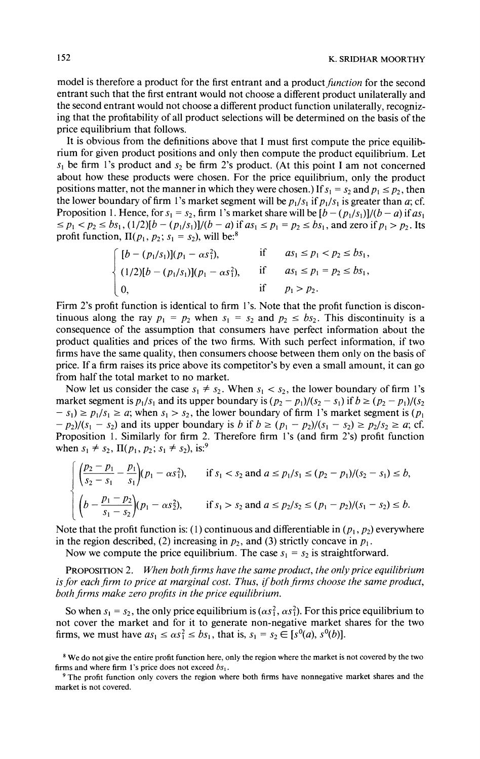**model is therefore a product for the first entrant and a product function for the second entrant such that the first entrant would not choose a different product unilaterally and the second entrant would not choose a different product function unilaterally, recognizing that the profitability of all product selections will be determined on the basis of the price equilibrium that follows.** 

**It is obvious from the definitions above that I must first compute the price equilibrium for given product positions and only then compute the product equilibrium. Let**   $s_1$  be firm 1's product and  $s_2$  be firm 2's product. (At this point I am not concerned **about how these products were chosen. For the price equilibrium, only the product positions matter, not the manner in which they were chosen.) If**  $s_1 = s_2$  **and**  $p_1 \le p_2$ **, then** the lower boundary of firm 1's market segment will be  $p_1/s_1$  if  $p_1/s_1$  is greater than a; cf. **Proposition 1. Hence, for**  $s_1 = s_2$ **, firm 1's market share will be**  $[b - (p_1/s_1)]/(b - a)$  **if**  $as_1$  $\leq p_1 < p_2 \leq bs_1$ ,  $\frac{1}{2}[b - (p_1/s_1)]/(b - a)$  if  $as_1 \leq p_1 = p_2 \leq bs_1$ , and zero if  $p_1 > p_2$ . Its profit function,  $\Pi(p_1, p_2; s_1 = s_2)$ , will be:<sup>8</sup>

$$
\begin{cases}\n[b - (p_1/s_1)](p_1 - \alpha s_1^2), & \text{if } as_1 \le p_1 < p_2 \le bs_1, \\
(1/2)[b - (p_1/s_1)](p_1 - \alpha s_1^2), & \text{if } as_1 \le p_1 = p_2 \le bs_1, \\
0, & \text{if } p_1 > p_2.\n\end{cases}
$$

Firm 2's profit function is identical to firm 1's. Note that the profit function is discon**tinuous along the ray**  $p_1 = p_2$  **when**  $s_1 = s_2$  **and**  $p_2 \le bs_2$ **. This discontinuity is a consequence of the assumption that consumers have perfect information about the product qualities and prices of the two firms. With such perfect information, if two firms have the same quality, then consumers choose between them only on the basis of price. If a firm raises its price above its competitor's by even a small amount, it can go from half the total market to no market.** 

Now let us consider the case  $s_1 \neq s_2$ . When  $s_1 < s_2$ , the lower boundary of firm 1's **market segment is**  $p_1/s_1$  **and its upper boundary is**  $(p_2 - p_1)/(s_2 - s_1)$  **if**  $b \geq (p_2 - p_1)/(s_2)$  $-s_1$ )  $\geq p_1/s_1 \geq a$ ; when  $s_1 > s_2$ , the lower boundary of firm 1's market segment is ( $p_1$ )  $(-p_2)/(s_1 - s_2)$  and its upper boundary is b if  $b \ge (p_1 - p_2)/(s_1 - s_2) \ge p_2/s_2 \ge a$ ; cf. **Proposition 1. Similarly for firm 2. Therefore firm l's (and firm 2's) profit function**  when  $s_1 \neq s_2$ ,  $\Pi(p_1, p_2; s_1 \neq s_2)$ , is:<sup>9</sup>

$$
\begin{cases}\n\left(\frac{p_2 - p_1}{s_2 - s_1} - \frac{p_1}{s_1}\right)(p_1 - \alpha s_1^2), & \text{if } s_1 < s_2 \text{ and } a \le p_1/s_1 \le (p_2 - p_1)/(s_2 - s_1) \le b, \\
\left(\frac{p_1 - p_2}{s_1 - s_2}\right)(p_1 - \alpha s_2^2), & \text{if } s_1 > s_2 \text{ and } a \le p_2/s_2 \le (p_1 - p_2)/(s_1 - s_2) \le b.\n\end{cases}
$$

Note that the profit function is: (1) continuous and differentiable in  $(p_1, p_2)$  everywhere in the region described, (2) increasing in  $p_2$ , and (3) strictly concave in  $p_1$ .

Now we compute the price equilibrium. The case  $s_1 = s_2$  is straightforward.

**PROPOSITION 2. When both firms have the same product, the only price equilibrium is for each firm to price at marginal cost. Thus, if both firms choose the same product, both firms make zero profits in the price equilibrium.** 

So when  $s_1 = s_2$ , the only price equilibrium is ( $\alpha s_1^2$ ,  $\alpha s_2^2$ ). For this price equilibrium to **not cover the market and for it to generate non-negative market shares for the two firms, we must have**  $as_1 \leq as_1^2 \leq bs_1$ **, that is,**  $s_1 = s_2 \in [s^0(a), s^0(b)].$ 

**<sup>8</sup> We do not give the entire profit function here, only the region where the market is not covered by the two**  firms and where firm 1's price does not exceed  $bs<sub>1</sub>$ .<br><sup>9</sup> The profit function only covers the region where both firms have nonnegative market shares and the

**market is not covered.**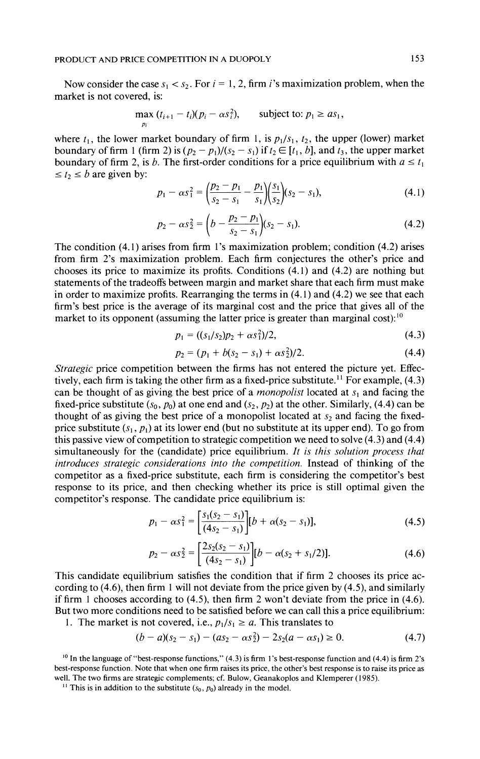Now consider the case  $s_1 < s_2$ . For  $i = 1, 2$ , firm i's maximization problem, when the **market is not covered, is:** 

$$
\max_{p_i} (t_{i+1} - t_i)(p_i - \alpha s_i^2), \quad \text{subject to: } p_1 \geq a s_1,
$$

where  $t_1$ , the lower market boundary of firm 1, is  $p_1/s_1$ ,  $t_2$ , the upper (lower) market **boundary of firm 1 (firm 2) is**  $(p_2 - p_1)/(s_2 - s_1)$  **if**  $t_2 \in [t_1, b]$ **, and**  $t_3$ **, the upper market** boundary of firm 2, is *b*. The first-order conditions for a price equilibrium with  $a \le t_1$  $\leq t_2 \leq b$  are given by:

$$
p_1 - \alpha s_1^2 = \left(\frac{p_2 - p_1}{s_2 - s_1} - \frac{p_1}{s_1}\right) \left(\frac{s_1}{s_2}\right) (s_2 - s_1),\tag{4.1}
$$

$$
p_2 - \alpha s_2^2 = \left(b - \frac{p_2 - p_1}{s_2 - s_1}\right)(s_2 - s_1). \tag{4.2}
$$

**The condition (4.1) arises from firm l's maximization problem; condition (4.2) arises from firm 2's maximization problem. Each firm conjectures the other's price and chooses its price to maximize its profits. Conditions (4.1) and (4.2) are nothing but statements of the tradeoffs between margin and market share that each firm must make in order to maximize profits. Rearranging the terms in (4.1) and (4.2) we see that each firm's best price is the average of its marginal cost and the price that gives all of the**  market to its opponent (assuming the latter price is greater than marginal cost):<sup>10</sup>

$$
p_1 = ((s_1/s_2)p_2 + \alpha s_1^2)/2, \qquad (4.3)
$$

$$
p_2 = (p_1 + b(s_2 - s_1) + \alpha s_2^2)/2. \tag{4.4}
$$

**Strategic price competition between the firms has not entered the picture yet. Effectively, each firm is taking the other firm as a fixed-price substitute.11 For example, (4.3)**  can be thought of as giving the best price of a *monopolist* located at  $s_1$  and facing the fixed-price substitute  $(s_0, p_0)$  at one end and  $(s_2, p_2)$  at the other. Similarly, (4.4) can be thought of as giving the best price of a monopolist located at  $s<sub>2</sub>$  and facing the fixedprice substitute  $(s_1, p_1)$  at its lower end (but no substitute at its upper end). To go from **this passive view of competition to strategic competition we need to solve (4.3) and (4.4) simultaneously for the (candidate) price equilibrium. It is this solution process that introduces strategic considerations into the competition. Instead of thinking of the competitor as a fixed-price substitute, each firm is considering the competitor's best response to its price, and then checking whether its price is still optimal given the competitor's response. The candidate price equilibrium is:** 

$$
p_1 - \alpha s_1^2 = \left[ \frac{s_1(s_2 - s_1)}{(4s_2 - s_1)} \right] [b + \alpha (s_2 - s_1)], \tag{4.5}
$$

$$
p_2 - \alpha s_2^2 = \left[\frac{2s_2(s_2 - s_1)}{(4s_2 - s_1)}\right][b - \alpha(s_2 + s_1/2)].\tag{4.6}
$$

**This candidate equilibrium satisfies the condition that if firm 2 chooses its price according to (4.6), then firm 1 will not deviate from the price given by (4.5), and similarly if firm 1 chooses according to (4.5), then firm 2 won't deviate from the price in (4.6). But two more conditions need to be satisfied before we can call this a price equilibrium:**  1. The market is not covered, i.e.,  $p_1/s_1 \ge a$ . This translates to

$$
(b-a)(s_2-s_1)-(as_2-\alpha s_2^2)-2s_2(a-\alpha s_1)\geq 0. \hspace{1.5cm} (4.7)
$$

**<sup>10</sup>In the language of "best-response functions," (4.3) is firm l's best-response function and (4.4) is firm 2's best-response function. Note that when one firm raises its price, the other's best response is to raise its price as well. The two firms are strategic complements; cf. Bulow, Geanakoplos and Klemperer (1985).** 

<sup>&</sup>lt;sup>11</sup> This is in addition to the substitute  $(s_0, p_0)$  already in the model.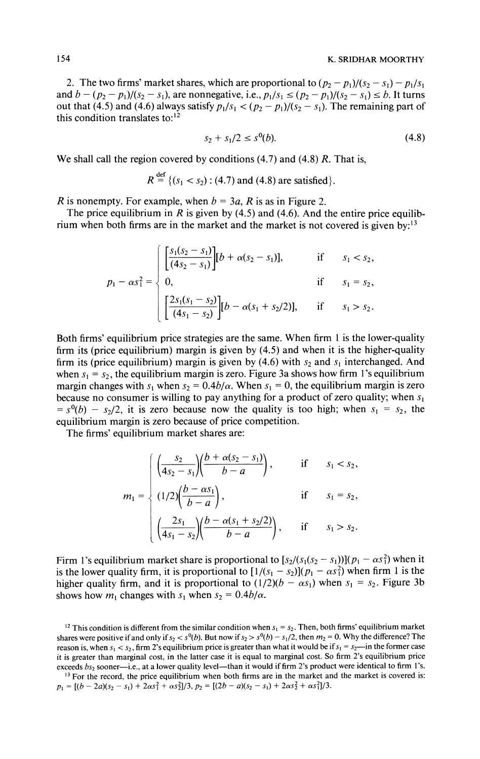2. The two firms' market shares, which are proportional to  $(p_2 - p_1)/(s_2 - s_1) - p_1/s_1$ and  $b - (p_2 - p_1)/(s_2 - s_1)$ , are nonnegative, i.e.,  $p_1/s_1 \le (p_2 - p_1)/(s_2 - s_1) \le b$ . It turns out that (4.5) and (4.6) always satisfy  $p_1/s_1 < (p_2 - p_1)/(s_2 - s_1)$ . The remaining part of **this condition translates to:'2** 

$$
s_2 + s_1/2 \le s^0(b). \tag{4.8}
$$

**We shall call the region covered by conditions (4.7) and (4.8) R. That is,** 

$$
R \stackrel{\text{def}}{=} \{ (s_1 < s_2) : (4.7) \text{ and } (4.8) \text{ are satisfied} \}.
$$

*R* is nonempty. For example, when  $b = 3a$ , *R* is as in Figure 2.

The price equilibrium in R is given by (4.5) and (4.6). And the entire price equilib**rium when both firms are in the market and the market is not covered is given by:'3** 

$$
p_1 - \alpha s_1^2 = \begin{cases} \left[ \frac{s_1(s_2 - s_1)}{(4s_2 - s_1)} \right] [b + \alpha(s_2 - s_1)], & \text{if } s_1 < s_2, \\ 0, & \text{if } s_1 = s_2, \\ \left[ \frac{2s_1(s_1 - s_2)}{(4s_1 - s_2)} \right] [b - \alpha(s_1 + s_2/2)], & \text{if } s_1 > s_2. \end{cases}
$$

**Both firms' equilibrium price strategies are the same. When firm 1 is the lower-quality firm its (price equilibrium) margin is given by (4.5) and when it is the higher-quality**  firm its (price equilibrium) margin is given by (4.6) with  $s_2$  and  $s_1$  interchanged. And when  $s_1 = s_2$ , the equilibrium margin is zero. Figure 3a shows how firm 1's equilibrium margin changes with  $s_1$  when  $s_2 = 0.4b/\alpha$ . When  $s_1 = 0$ , the equilibrium margin is zero because no consumer is willing to pay anything for a product of zero quality; when  $s<sub>1</sub>$  $s = s<sup>0</sup>(b) - s<sub>2</sub>/2$ , it is zero because now the quality is too high; when  $s<sub>1</sub> = s<sub>2</sub>$ , the **equilibrium margin is zero because of price competition.** 

**The firms' equilibrium market shares are:** 

$$
m_{1} = \begin{cases} \left(\frac{s_{2}}{4s_{2} - s_{1}}\right) \left(\frac{b + \alpha(s_{2} - s_{1})}{b - a}\right), & \text{if } s_{1} < s_{2}, \\ \left(\frac{1}{2}\right) \left(\frac{b - \alpha s_{1}}{b - a}\right), & \text{if } s_{1} = s_{2}, \\ \left(\frac{2s_{1}}{4s_{1} - s_{2}}\right) \left(\frac{b - \alpha(s_{1} + s_{2}/2)}{b - a}\right), & \text{if } s_{1} > s_{2}. \end{cases}
$$

**Firm 1's equilibrium market share is proportional to**  $[s_2/(s_1(s_2 - s_1))](p_1 - \alpha s_1^2)$  **when it** is the lower quality firm, it is proportional to  $[1/(s_1 - s_2)](p_1 - \alpha s_1^2)$  when firm 1 is the higher quality firm, and it is proportional to  $(1/2)(b - \alpha s_1)$  when  $s_1 = s_2$ . Figure 3b shows how  $m_1$  changes with  $s_1$  when  $s_2 = 0.4b/\alpha$ .

<sup>&</sup>lt;sup>12</sup>**This condition is different from the similar condition when**  $s_1 = s_2$ **. Then, both firms' equilibrium market** shares were positive if and only if  $s_2 < s^0(b)$ . But now if  $s_2 > s^0(b) - s_1/2$ , then  $m_2 = 0$ . Why the difference? The **reason is, when**  $s_1 < s_2$ , firm 2's equilibrium price is greater than what it would be if  $s_1 = s_2$ —in the former case **it is greater than marginal cost, in the latter case it is equal to marginal cost. So firm 2's equilibrium price**  exceeds  $bs_2$  sooner-i.e., at a lower quality level--than it would if firm 2's product were identical to firm 1's.

**<sup>13</sup>For the record, the price equilibrium when both firms are in the market and the market is covered is:**   $p_1 = [(b - 2a)(s_2 - s_1) + 2\alpha s_1^2 + \alpha s_2^2]/3, p_2 = [(2b - a)(s_2 - s_1) + 2\alpha s_2^2 + \alpha s_1^2]/3.$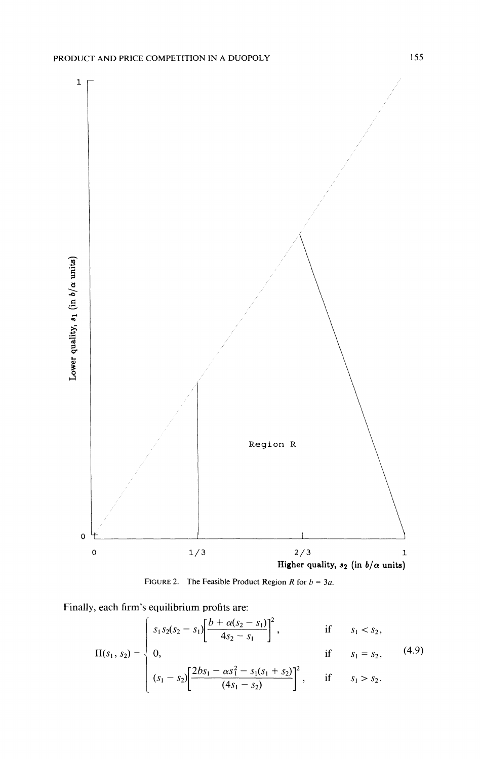



**Finally, each firm's equilibrium profits are:** 

$$
\Pi(s_1, s_2) = \begin{cases}\ns_1 s_2 (s_2 - s_1) \left[ \frac{b + \alpha (s_2 - s_1)}{4s_2 - s_1} \right]^2, & \text{if } s_1 < s_2, \\
0, & \text{if } s_1 = s_2, \\
(s_1 - s_2) \left[ \frac{2bs_1 - \alpha s_1^2 - s_1 (s_1 + s_2)}{(4s_1 - s_2)} \right]^2, & \text{if } s_1 > s_2.\n\end{cases}
$$
\n(4.9)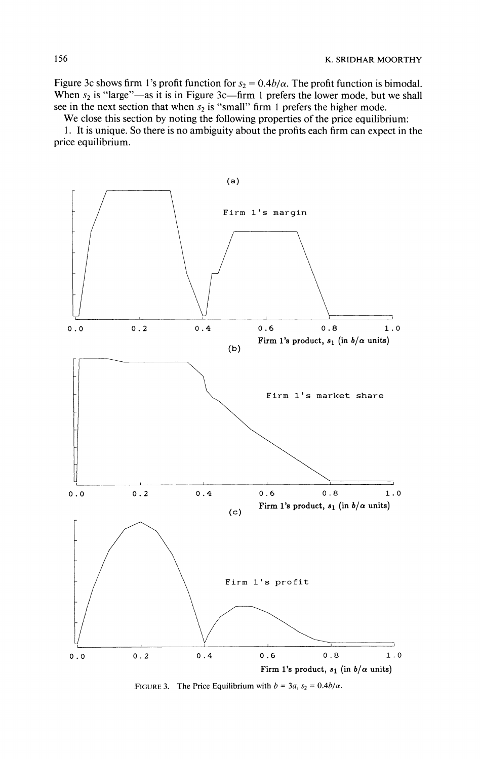Figure 3c shows firm 1's profit function for  $s_2 = 0.4b/\alpha$ . The profit function is bimodal. When  $s_2$  is "large"—as it is in Figure 3c—firm 1 prefers the lower mode, but we shall see in the next section that when  $s_2$  is "small" firm 1 prefers the higher mode.

**We close this section by noting the following properties of the price equilibrium:** 

**1. It is unique. So there is no ambiguity about the profits each firm can expect in the price equilibrium.** 

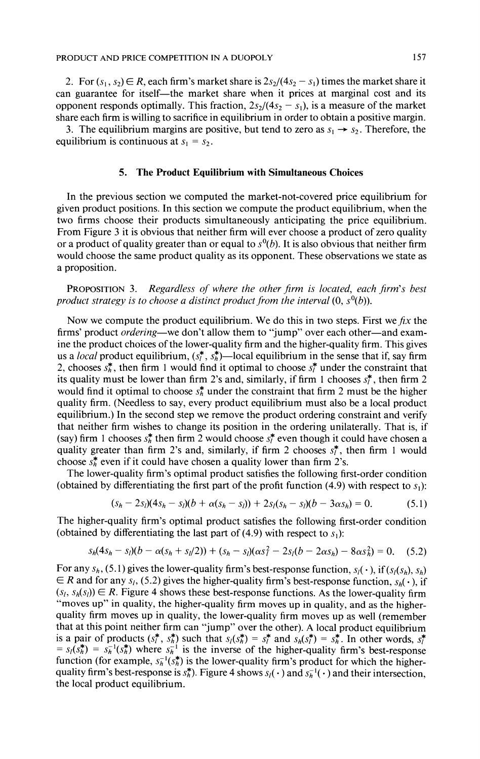2. For  $(s_1, s_2) \in R$ , each firm's market share is  $2s_2/(4s_2 - s_1)$  times the market share it can guarantee for itself—the market share when it prices at marginal cost and its **opponent responds optimally.** This fraction,  $2s_2/(4s_2 - s_1)$ , is a measure of the market **share each firm is willing to sacrifice in equilibrium in order to obtain a positive margin.** 

**3.** The equilibrium margins are positive, but tend to zero as  $s_1 \rightarrow s_2$ . Therefore, the equilibrium is continuous at  $s_1 = s_2$ .

#### **5. The Product Equilibrium with Simultaneous Choices**

**In the previous section we computed the market-not-covered price equilibrium for given product positions. In this section we compute the product equilibrium, when the two firms choose their products simultaneously anticipating the price equilibrium. From Figure 3 it is obvious that neither firm will ever choose a product of zero quality**  or a product of quality greater than or equal to  $s^0(b)$ . It is also obvious that neither firm **would choose the same product quality as its opponent. These observations we state as a proposition.** 

**PROPOSITION 3. Regardless of where the other firm is located, each firm's best**  product strategy is to choose a distinct product from the interval  $(0, s^0(b))$ .

**Now we compute the product equilibrium. We do this in two steps. First we fix the**  firms' product *ordering*—we don't allow them to "jump" over each other—and exam**ine the product choices of the lower-quality firm and the higher-quality firm. This gives**  us a *local* product equilibrium,  $(s_i^*, s_i^*)$ —local equilibrium in the sense that if, say firm 2, chooses  $s_h^*$ , then firm 1 would find it optimal to choose  $s_l^*$  under the constraint that its quality must be lower than firm 2's and, similarly, if firm 1 chooses  $s_t^*$ , then firm 2 would find it optimal to choose  $s_h^*$  under the constraint that firm 2 must be the higher **quality firm. (Needless to say, every product equilibrium must also be a local product equilibrium.) In the second step we remove the product ordering constraint and verify that neither firm wishes to change its position in the ordering unilaterally. That is, if**  (say) firm 1 chooses  $s_h^*$  then firm 2 would choose  $s_l^*$  even though it could have chosen a quality greater than firm 2's and, similarly, if firm 2 chooses  $s_i^*$ , then firm 1 would choose  $s_h^*$  even if it could have chosen a quality lower than firm 2's.

**The lower-quality firm's optimal product satisfies the following first-order condition**  (obtained by differentiating the first part of the profit function  $(4.9)$  with respect to  $s<sub>1</sub>$ ):

$$
(s_h - 2s_l)(4s_h - s_l)(b + \alpha(s_h - s_l)) + 2s_l(s_h - s_l)(b - 3\alpha s_h) = 0.
$$
 (5.1)

**The higher-quality firm's optimal product satisfies the following first-order condition**  (obtained by differentiating the last part of  $(4.9)$  with respect to  $s_1$ ):

$$
s_h(4s_h - s_l)(b - \alpha(s_h + s_l/2)) + (s_h - s_l)(\alpha s_l^2 - 2s_l(b - 2\alpha s_h) - 8\alpha s_h^2) = 0. \quad (5.2)
$$

For any  $s_h$ , (5.1) gives the lower-quality firm's best-response function,  $s_l(\cdot)$ , if  $(s_l(s_h), s_h)$  $\in$  R and for any  $s_l$ , (5.2) gives the higher-quality firm's best-response function,  $s_h(\cdot)$ , if  $(s_i, s_h(s_i)) \in R$ . Figure 4 shows these best-response functions. As the lower-quality firm **"moves up" in quality, the higher-quality firm moves up in quality, and as the higherquality firm moves up in quality, the lower-quality firm moves up as well (remember that at this point neither firm can "jump" over the other). A local product equilibrium**  is a pair of products  $(s_i^*, s_i^*)$  such that  $s_i(s_i^*) = s_i^*$  and  $s_i(s_i^*) = s_i^*$ . In other words,  $s_i^*$  $= s_l(s_h^*) = s_h^{-1}(s_h^*)$  where  $s_h^{-1}$  is the inverse of the higher-quality firm's best-response function (for example,  $s_h^{-1}(s_h^*)$  is the lower-quality firm's product for which the higher**quality firm's best-response is**  $s_h^*$ **). Figure 4 shows**  $s_l(\cdot)$  **and**  $s_h^{-1}(\cdot)$  **and their intersection, the local product equilibrium.**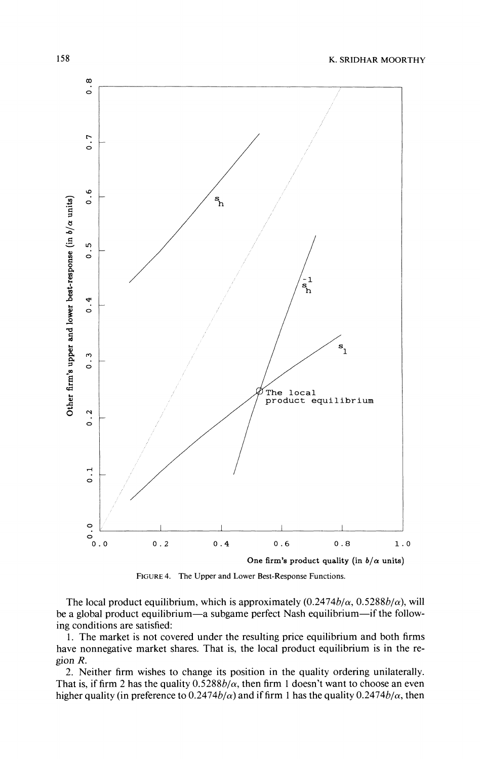

**FIGURE 4. The Upper and Lower Best-Response Functions.** 

The local product equilibrium, which is approximately  $(0.2474b/\alpha, 0.5288b/\alpha)$ , will be a global product equilibrium—a subgame perfect Nash equilibrium—if the follow**ing conditions are satisfied:** 

**1. The market is not covered under the resulting price equilibrium and both firms have nonnegative market shares. That is, the local product equilibrium is in the region R.** 

**2. Neither firm wishes to change its position in the quality ordering unilaterally.**  That is, if firm 2 has the quality  $0.5288b/\alpha$ , then firm 1 doesn't want to choose an even higher quality (in preference to  $0.2474b/\alpha$ ) and if firm 1 has the quality  $0.2474b/\alpha$ , then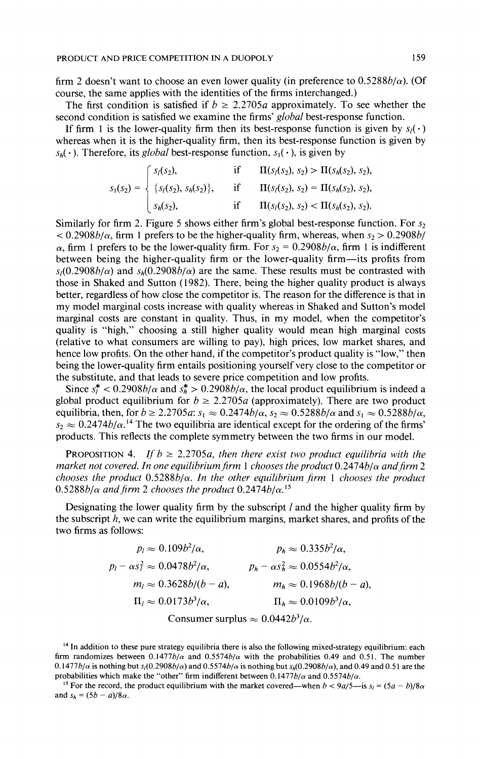firm 2 doesn't want to choose an even lower quality (in preference to  $0.5288b/\alpha$ ). (Of **course, the same applies with the identities of the firms interchanged.)** 

The first condition is satisfied if  $b \ge 2.2705a$  approximately. To see whether the **second condition is satisfied we examine the firms' global best-response function.** 

If firm 1 is the lower-quality firm then its best-response function is given by  $s_i(\cdot)$ **whereas when it is the higher-quality firm, then its best-response function is given by**   $s_h(\cdot)$ . Therefore, its global best-response function,  $s_1(\cdot)$ , is given by

$$
s_1(s_2) = \begin{cases} s_1(s_2), & \text{if } \Pi(s_1(s_2), s_2) > \Pi(s_h(s_2), s_2), \\ \{s_1(s_2), s_h(s_2)\}, & \text{if } \Pi(s_1(s_2), s_2) = \Pi(s_h(s_2), s_2), \\ s_h(s_2), & \text{if } \Pi(s_1(s_2), s_2) < \Pi(s_h(s_2), s_2). \end{cases}
$$

Similarly for firm 2. Figure 5 shows either firm's global best-response function. For  $s_2$  $< 0.2908b/\alpha$ , firm 1 prefers to be the higher-quality firm, whereas, when  $s_2 > 0.2908b/\alpha$  $\alpha$ , firm 1 prefers to be the lower-quality firm. For  $s_2 = 0.2908b/\alpha$ , firm 1 is indifferent **between being the higher-quality firm or the lower-quality firm-its profits from**   $s_1(0.2908b/\alpha)$  and  $s_h(0.2908b/\alpha)$  are the same. These results must be contrasted with **those in Shaked and Sutton (1982). There, being the higher quality product is always better, regardless of how close the competitor is. The reason for the difference is that in my model marginal costs increase with quality whereas in Shaked and Sutton's model marginal costs are constant in quality. Thus, in my model, when the competitor's quality is "high," choosing a still higher quality would mean high marginal costs (relative to what consumers are willing to pay), high prices, low market shares, and hence low profits. On the other hand, if the competitor's product quality is "low," then being the lower-quality firm entails positioning yourself very close to the competitor or the substitute, and that leads to severe price competition and low profits.** 

Since  $s^*$  < 0.2908b/ $\alpha$  and  $s^*$  > 0.2908b/ $\alpha$ , the local product equilibrium is indeed a global product equilibrium for  $b \ge 2.2705a$  (approximately). There are two product **equilibria, then, for**  $b \ge 2.2705a$ :  $s_1 \approx 0.2474b/\alpha$ ,  $s_2 \approx 0.5288b/\alpha$  and  $s_1 \approx 0.5288b/\alpha$ ,  $s_2 \approx 0.2474b/\alpha$ .<sup>14</sup> The two equilibria are identical except for the ordering of the firms' **products. This reflects the complete symmetry between the two firms in our model.** 

**PROPOSITION 4.** If  $b \ge 2.2705a$ , then there exist two product equilibria with the **market not covered. In one equilibrium firm 1 chooses the product 0.2474b/** $\alpha$  **and firm 2** chooses the product  $0.5288b/\alpha$ . In the other equilibrium firm 1 chooses the product  $0.5288b/\alpha$  and firm 2 chooses the product  $0.2474b/\alpha$ .<sup>15</sup>

**Designating the lower quality firm by the subscript I and the higher quality firm by the subscript h, we can write the equilibrium margins, market shares, and profits of the two firms as follows:** 

| $p_l \approx 0.109b^2/\alpha$ ,                 | $p_h \approx 0.335b^2/\alpha$ ,                 |
|-------------------------------------------------|-------------------------------------------------|
| $p_l - \alpha s_l^2 \approx 0.0478b^2/\alpha$ , | $p_h - \alpha s_h^2 \approx 0.0554b^2/\alpha$ , |
| $m_l \approx 0.3628b/(b-a)$ ,                   | $m_h \approx 0.1968b/(b-a)$ ,                   |
| $\Pi_l \approx 0.0173b^3/\alpha$ ,              | $\Pi_h \approx 0.0109b^3/\alpha$ ,              |
| Consumer sumble $\sim 0.0442h^3/\omega$         |                                                 |

Consumer surplus  $\approx 0.0442b^3/\alpha$ .

**<sup>14</sup>In addition to these pure strategy equilibria there is also the following mixed-strategy equilibrium: each**  firm randomizes between 0.1477b/ $\alpha$  and 0.5574b/ $\alpha$  with the probabilities 0.49 and 0.51. The number  $0.1477b/\alpha$  is nothing but  $s/(0.2908b/\alpha)$  and  $0.5574b/\alpha$  is nothing but  $s/(0.2908b/\alpha)$ , and 0.49 and 0.51 are the probabilities which make the "other" firm indifferent between  $0.1477b/\alpha$  and  $0.5574b/\alpha$ .

<sup>&</sup>lt;sup>15</sup>**For the record, the product equilibrium with the market covered—when**  $b < 9a/5$ **—is**  $s_1 = (5a - b)/8a$ and  $s_h = (5b - a)/8a$ .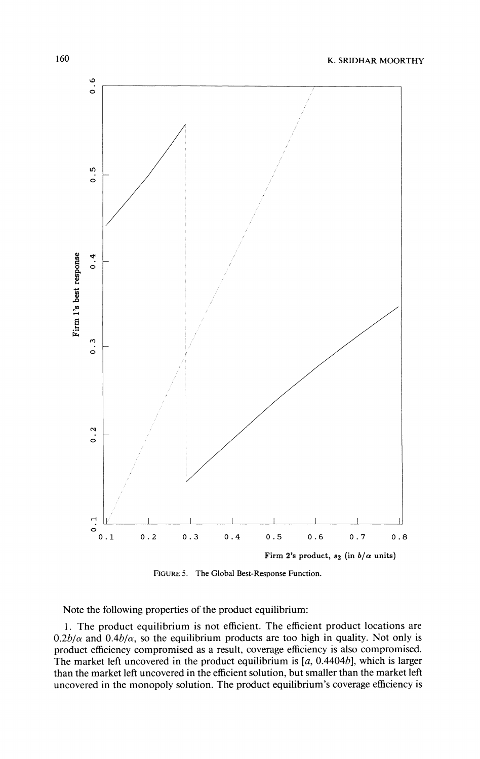

**FIGURE 5. The Global Best-Response Function.** 

**Note the following properties of the product equilibrium:** 

**1. The product equilibrium is not efficient. The efficient product locations are**   $0.2b/\alpha$  and  $0.4b/\alpha$ , so the equilibrium products are too high in quality. Not only is **product efficiency compromised as a result, coverage efficiency is also compromised. The market left uncovered in the product equilibrium is [a, 0.4404b], which is larger than the market left uncovered in the efficient solution, but smaller than the market left uncovered in the monopoly solution. The product equilibrium's coverage efficiency is**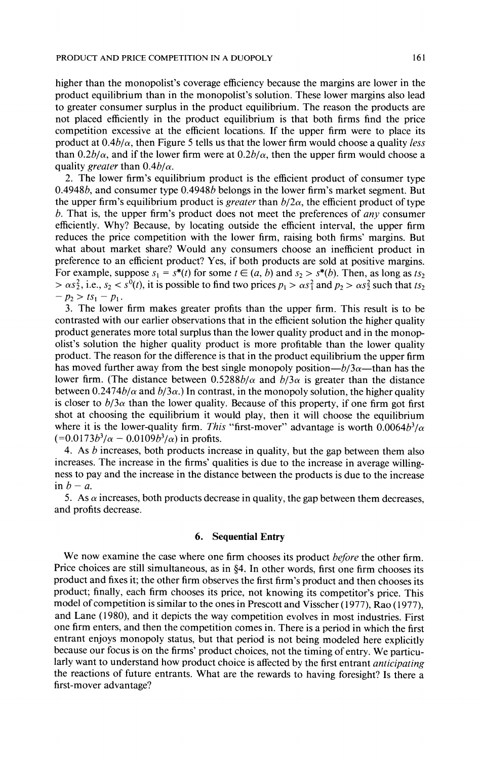**higher than the monopolist's coverage efficiency because the margins are lower in the product equilibrium than in the monopolist's solution. These lower margins also lead to greater consumer surplus in the product equilibrium. The reason the products are not placed efficiently in the product equilibrium is that both firms find the price competition excessive at the efficient locations. If the upper firm were to place its**  product at  $0.4b/\alpha$ , then Figure 5 tells us that the lower firm would choose a quality *less* than  $0.2b/\alpha$ , and if the lower firm were at  $0.2b/\alpha$ , then the upper firm would choose a quality *greater* than  $0.4b/\alpha$ .

**2. The lower firm's equilibrium product is the efficient product of consumer type 0.4948b, and consumer type 0.4948b belongs in the lower firm's market segment. But**  the upper firm's equilibrium product is *greater* than  $b/2\alpha$ , the efficient product of type **b. That is, the upper firm's product does not meet the preferences of any consumer efficiently. Why? Because, by locating outside the efficient interval, the upper firm reduces the price competition with the lower firm, raising both firms' margins. But what about market share? Would any consumers choose an inefficient product in preference to an efficient product? Yes, if both products are sold at positive margins.**  For example, suppose  $s_1 = s^*(t)$  for some  $t \in (a, b)$  and  $s_2 > s^*(b)$ . Then, as long as  $ts_2$  $> \alpha s_2^2$ , i.e.,  $s_2 < s^0(t)$ , it is possible to find two prices  $p_1 > \alpha s_1^2$  and  $p_2 > \alpha s_2^2$  such that  $ts_2$  $-p_2 > t s_1 - p_1$ .

**3. The lower firm makes greater profits than the upper firm. This result is to be contrasted with our earlier observations that in the efficient solution the higher quality product generates more total surplus than the lower quality product and in the monopolist's solution the higher quality product is more profitable than the lower quality product. The reason for the difference is that in the product equilibrium the upper firm**  has moved further away from the best single monopoly position— $b/3\alpha$ —than has the lower firm. (The distance between  $0.5288b/\alpha$  and  $b/3\alpha$  is greater than the distance between 0.2474b/ $\alpha$  and  $b/3\alpha$ .) In contrast, in the monopoly solution, the higher quality is closer to  $b/3\alpha$  than the lower quality. Because of this property, if one firm got first **shot at choosing the equilibrium it would play, then it will choose the equilibrium**  where it is the lower-quality firm. This "first-mover" advantage is worth  $0.0064b^3/\alpha$  $(=0.0173b^3/\alpha - 0.0109b^3/\alpha)$  in profits.

**4. As b increases, both products increase in quality, but the gap between them also increases. The increase in the firms' qualities is due to the increase in average willingness to pay and the increase in the distance between the products is due to the increase**   $\sin b - a$ .

5. As  $\alpha$  increases, both products decrease in quality, the gap between them decreases, **and profits decrease.** 

# **6. Sequential Entry**

We now examine the case where one firm chooses its product *before* the other firm. Price choices are still simultaneous, as in §4. In other words, first one firm chooses its **product and fixes it; the other firm observes the first firm's product and then chooses its product; finally, each firm chooses its price, not knowing its competitor's price. This model of competition is similar to the ones in Prescott and Visscher (1977), Rao (1977), and Lane (1980), and it depicts the way competition evolves in most industries. First one firm enters, and then the competition comes in. There is a period in which the first entrant enjoys monopoly status, but that period is not being modeled here explicitly because our focus is on the firms' product choices, not the timing of entry. We particularly want to understand how product choice is affected by the first entrant anticipating the reactions of future entrants. What are the rewards to having foresight? Is there a first-mover advantage?**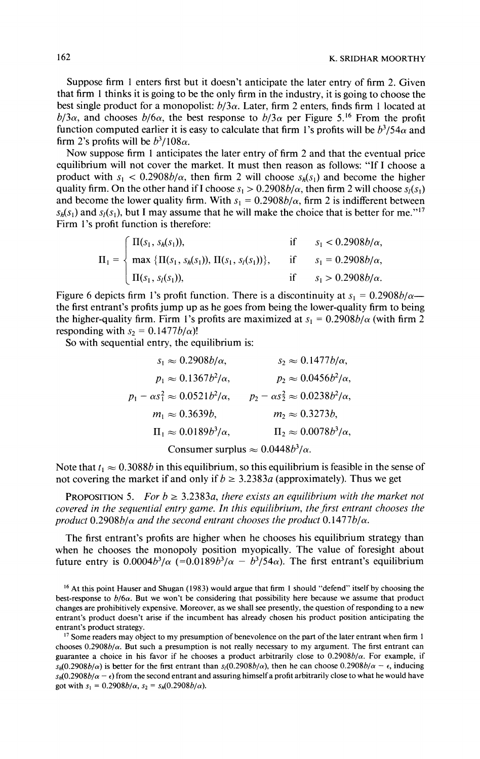**Suppose firm 1 enters first but it doesn't anticipate the later entry of firm 2. Given that firm 1 thinks it is going to be the only firm in the industry, it is going to choose the**  best single product for a monopolist:  $b/3\alpha$ . Later, firm 2 enters, finds firm 1 located at  $b/3\alpha$ , and chooses  $b/6\alpha$ , the best response to  $b/3\alpha$  per Figure 5.<sup>16</sup> From the profit function computed earlier it is easy to calculate that firm 1's profits will be  $b^3/54\alpha$  and firm 2's profits will be  $b^3/108\alpha$ .

**Now suppose firm 1 anticipates the later entry of firm 2 and that the eventual price equilibrium will not cover the market. It must then reason as follows: "If I choose a**  product with  $s_1 < 0.2908b/\alpha$ , then firm 2 will choose  $s_h(s_1)$  and become the higher quality firm. On the other hand if I choose  $s_1 > 0.2908b/\alpha$ , then firm 2 will choose  $s_i(s_1)$ and become the lower quality firm. With  $s_1 = 0.2908b/\alpha$ , firm 2 is indifferent between  $s_h(s_1)$  and  $s_l(s_1)$ , but I may assume that he will make the choice that is better for me."<sup>17</sup> **Firm l's profit function is therefore:** 

$$
\Pi_1 = \begin{cases}\n\Pi(s_1, s_h(s_1)), & \text{if } s_1 < 0.2908b/\alpha, \\
\max \{ \Pi(s_1, s_h(s_1)), \Pi(s_1, s_l(s_1)) \}, & \text{if } s_1 = 0.2908b/\alpha, \\
\Pi(s_1, s_l(s_1)), & \text{if } s_1 > 0.2908b/\alpha.\n\end{cases}
$$

Figure 6 depicts firm 1's profit function. There is a discontinuity at  $s_1 = 0.2908b/\alpha$  **the first entrant's profits jump up as he goes from being the lower-quality firm to being**  the higher-quality firm. Firm 1's profits are maximized at  $s_1 = 0.2908b/\alpha$  (with firm 2 **responding with**  $s_2 = 0.1477b/\alpha$ !

**So with sequential entry, the equilibrium is:** 

$$
s_1 \approx 0.2908b/\alpha, \qquad s_2 \approx 0.1477b/\alpha,
$$
  
\n
$$
p_1 \approx 0.1367b^2/\alpha, \qquad p_2 \approx 0.0456b^2/\alpha,
$$
  
\n
$$
p_1 - \alpha s_1^2 \approx 0.0521b^2/\alpha, \qquad p_2 - \alpha s_2^2 \approx 0.0238b^2/\alpha,
$$
  
\n
$$
m_1 \approx 0.3639b, \qquad m_2 \approx 0.3273b,
$$
  
\n
$$
\Pi_1 \approx 0.0189b^3/\alpha, \qquad \Pi_2 \approx 0.0078b^3/\alpha,
$$

Consumer surplus  $\approx 0.0448b^3/\alpha$ .

Note that  $t_1 \approx 0.3088b$  in this equilibrium, so this equilibrium is feasible in the sense of not covering the market if and only if  $b \geq 3.2383a$  (approximately). Thus we get

**PROPOSITION 5.** For  $b \geq 3.2383a$ , there exists an equilibrium with the market not **covered in the sequential entry game. In this equilibrium, the first entrant chooses the**  product  $0.2908b/\alpha$  and the second entrant chooses the product  $0.1477b/\alpha$ .

**The first entrant's profits are higher when he chooses his equilibrium strategy than when he chooses the monopoly position myopically. The value of foresight about**  future entry is  $0.0004b^3/\alpha$  (=0.0189b<sup>3</sup>/ $\alpha - b^3/54\alpha$ ). The first entrant's equilibrium

**<sup>16</sup>At this point Hauser and Shugan (1983) would argue that firm 1 should "defend" itself by choosing the**  best-response to  $b/6\alpha$ . But we won't be considering that possibility here because we assume that product **changes are prohibitively expensive. Moreover, as we shall see presently, the question of responding to a new entrant's product doesn't arise if the incumbent has already chosen his product position anticipating the entrant's product strategy.** 

**<sup>17</sup> Some readers may object to my presumption of benevolence on the part of the later entrant when firm 1 chooses 0.2908b/a. But such a presumption is not really necessary to my argument. The first entrant can**  guarantee a choice in his favor if he chooses a product arbitrarily close to  $0.2908b/\alpha$ . For example, if  $s_n(0.2908b/\alpha)$  is better for the first entrant than  $s_n(0.2908b/\alpha)$ , then he can choose 0.2908b/ $\alpha - \epsilon$ , inducing  $s_h(0.2908b/\alpha - \epsilon)$  from the second entrant and assuring himself a profit arbitrarily close to what he would have got with  $s_1 = 0.2908b/\alpha$ ,  $s_2 = s_h(0.2908b/\alpha)$ .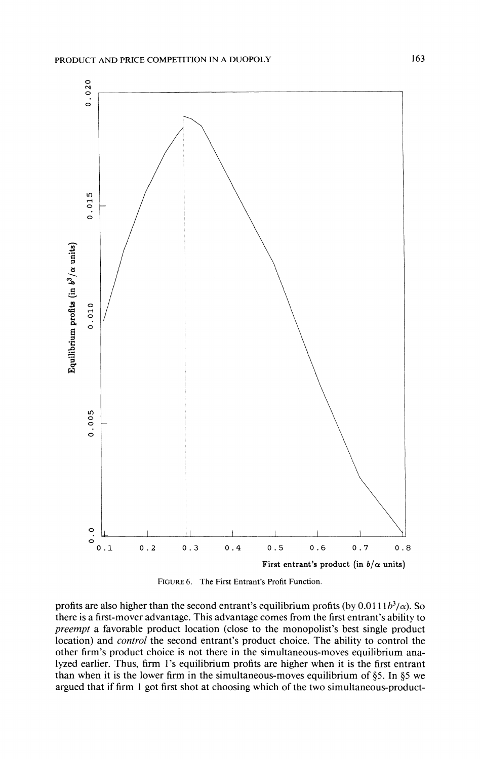

**FIGURE 6. The First Entrant's Profit Function.** 

profits are also higher than the second entrant's equilibrium profits (by  $0.0111b^3/\alpha$ ). So **there is a first-mover advantage. This advantage comes from the first entrant's ability to preempt a favorable product location (close to the monopolist's best single product location) and control the second entrant's product choice. The ability to control the other firm's product choice is not there in the simultaneous-moves equilibrium analyzed earlier. Thus, firm l's equilibrium profits are higher when it is the first entrant**  than when it is the lower firm in the simultaneous-moves equilibrium of §5. In §5 we **argued that if firm 1 got first shot at choosing which of the two simultaneous-product-**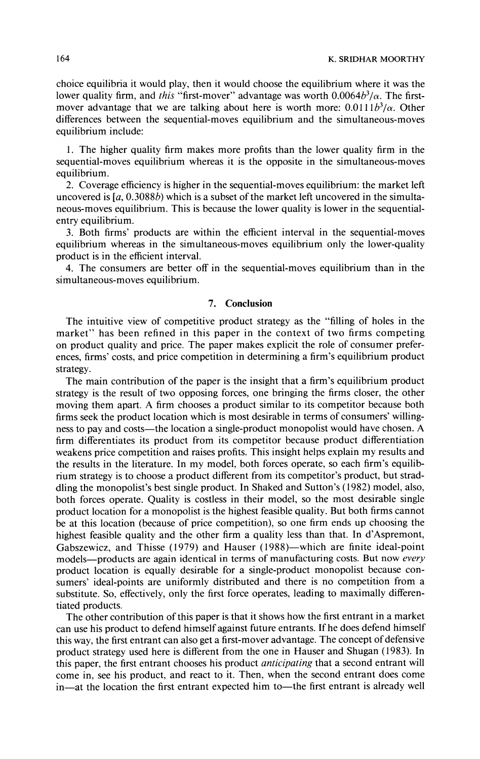**choice equilibria it would play, then it would choose the equilibrium where it was the**  lower quality firm, and *this* "first-mover" advantage was worth  $0.0064b^3/\alpha$ . The firstmover advantage that we are talking about here is worth more:  $0.0111b^3/\alpha$ . Other **differences between the sequential-moves equilibrium and the simultaneous-moves equilibrium include:** 

**1. The higher quality firm makes more profits than the lower quality firm in the sequential-moves equilibrium whereas it is the opposite in the simultaneous-moves equilibrium.** 

**2. Coverage efficiency is higher in the sequential-moves equilibrium: the market left uncovered is [a, 0.3088b) which is a subset of the market left uncovered in the simultaneous-moves equilibrium. This is because the lower quality is lower in the sequentialentry equilibrium.** 

**3. Both firms' products are within the efficient interval in the sequential-moves equilibrium whereas in the simultaneous-moves equilibrium only the lower-quality product is in the efficient interval.** 

**4. The consumers are better off in the sequential-moves equilibrium than in the simultaneous-moves equilibrium.** 

### **7. Conclusion**

**The intuitive view of competitive product strategy as the "filling of holes in the market" has been refined in this paper in the context of two firms competing on product quality and price. The paper makes explicit the role of consumer preferences, firms' costs, and price competition in determining a firm's equilibrium product strategy.** 

**The main contribution of the paper is the insight that a firm's equilibrium product strategy is the result of two opposing forces, one bringing the firms closer, the other moving them apart. A firm chooses a product similar to its competitor because both firms seek the product location which is most desirable in terms of consumers' willingness to pay and costs-the location a single-product monopolist would have chosen. A firm differentiates its product from its competitor because product differentiation weakens price competition and raises profits. This insight helps explain my results and the results in the literature. In my model, both forces operate, so each firm's equilibrium strategy is to choose a product different from its competitor's product, but straddling the monopolist's best single product. In Shaked and Sutton's (1982) model, also, both forces operate. Quality is costless in their model, so the most desirable single product location for a monopolist is the highest feasible quality. But both firms cannot be at this location (because of price competition), so one firm ends up choosing the highest feasible quality and the other firm a quality less than that. In d'Aspremont,**  Gabszewicz, and Thisse (1979) and Hauser (1988)—which are finite ideal-point **models-products are again identical in terms of manufacturing costs. But now every product location is equally desirable for a single-product monopolist because consumers' ideal-points are uniformly distributed and there is no competition from a substitute. So, effectively, only the first force operates, leading to maximally differentiated products.** 

**The other contribution of this paper is that it shows how the first entrant in a market can use his product to defend himself against future entrants. If he does defend himself this way, the first entrant can also get a first-mover advantage. The concept of defensive product strategy used here is different from the one in Hauser and Shugan (1983). In this paper, the first entrant chooses his product anticipating that a second entrant will come in, see his product, and react to it. Then, when the second entrant does come**  in—at the location the first entrant expected him to—the first entrant is already well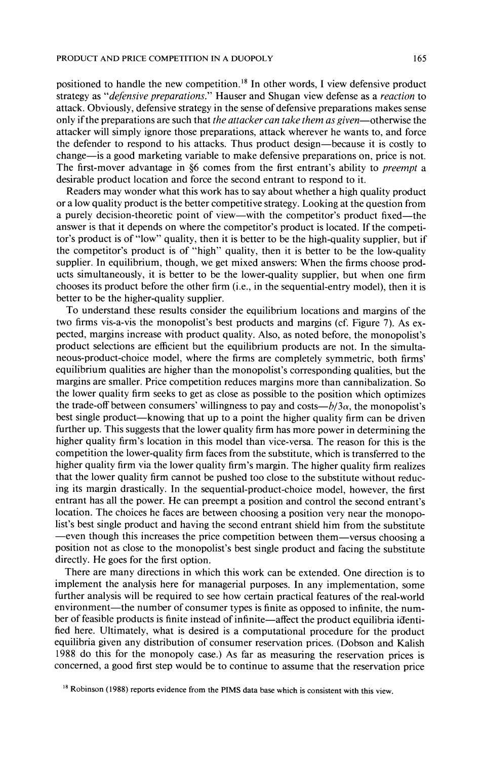**positioned to handle the new competition.18 In other words, I view defensive product strategy as "defensive preparations." Hauser and Shugan view defense as a reaction to attack. Obviously, defensive strategy in the sense of defensive preparations makes sense only if the preparations are such that the attacker can take them as given-otherwise the attacker will simply ignore those preparations, attack wherever he wants to, and force the defender to respond to his attacks. Thus product design-because it is costly to change-is a good marketing variable to make defensive preparations on, price is not.**  The first-mover advantage in §6 comes from the first entrant's ability to *preempt* a **desirable product location and force the second entrant to respond to it.** 

**Readers may wonder what this work has to say about whether a high quality product or a low quality product is the better competitive strategy. Looking at the question from a purely decision-theoretic point of view-with the competitor's product fixed-the answer is that it depends on where the competitor's product is located. If the competitor's product is of "low" quality, then it is better to be the high-quality supplier, but if the competitor's product is of "high" quality, then it is better to be the low-quality supplier. In equilibrium, though, we get mixed answers: When the firms choose products simultaneously, it is better to be the lower-quality supplier, but when one firm chooses its product before the other firm (i.e., in the sequential-entry model), then it is better to be the higher-quality supplier.** 

**To understand these results consider the equilibrium locations and margins of the two firms vis-a-vis the monopolist's best products and margins (cf. Figure 7). As expected, margins increase with product quality. Also, as noted before, the monopolist's product selections are efficient but the equilibrium products are not. In the simultaneous-product-choice model, where the firms are completely symmetric, both firms' equilibrium qualities are higher than the monopolist's corresponding qualities, but the margins are smaller. Price competition reduces margins more than cannibalization. So the lower quality firm seeks to get as close as possible to the position which optimizes**  the trade-off between consumers' willingness to pay and costs— $b/3\alpha$ , the monopolist's best single product—knowing that up to a point the higher quality firm can be driven **further up. This suggests that the lower quality firm has more power in determining the higher quality firm's location in this model than vice-versa. The reason for this is the competition the lower-quality firm faces from the substitute, which is transferred to the higher quality firm via the lower quality firm's margin. The higher quality firm realizes that the lower quality firm cannot be pushed too close to the substitute without reducing its margin drastically. In the sequential-product-choice model, however, the first entrant has all the power. He can preempt a position and control the second entrant's location. The choices he faces are between choosing a position very near the monopolist's best single product and having the second entrant shield him from the substitute -even though this increases the price competition between them-versus choosing a position not as close to the monopolist's best single product and facing the substitute directly. He goes for the first option.** 

**There are many directions in which this work can be extended. One direction is to implement the analysis here for managerial purposes. In any implementation, some further analysis will be required to see how certain practical features of the real-world**  environment—the number of consumer types is finite as opposed to infinite, the number of feasible products is finite instead of infinite—affect the product equilibria identi**fied here. Ultimately, what is desired is a computational procedure for the product equilibria given any distribution of consumer reservation prices. (Dobson and Kalish 1988 do this for the monopoly case.) As far as measuring the reservation prices is concerned, a good first step would be to continue to assume that the reservation price** 

**<sup>18</sup>Robinson (1988) reports evidence from the PIMS data base which is consistent with this view.**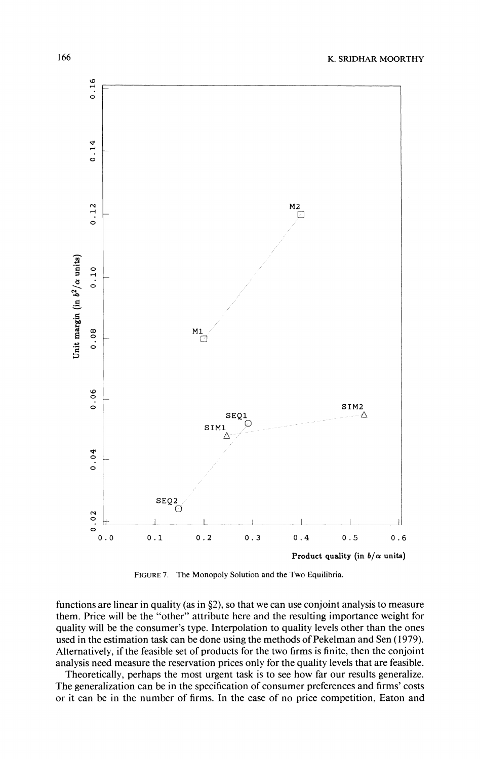

**FIGURE 7. The Monopoly Solution and the Two Equilibria.** 

functions are linear in quality (as in §2), so that we can use conjoint analysis to measure **them. Price will be the "other" attribute here and the resulting importance weight for quality will be the consumer's type. Interpolation to quality levels other than the ones used in the estimation task can be done using the methods of Pekelman and Sen (1979). Alternatively, if the feasible set of products for the two firms is finite, then the conjoint analysis need measure the reservation prices only for the quality levels that are feasible.** 

**Theoretically, perhaps the most urgent task is to see how far our results generalize. The generalization can be in the specification of consumer preferences and firms' costs or it can be in the number of firms. In the case of no price competition, Eaton and**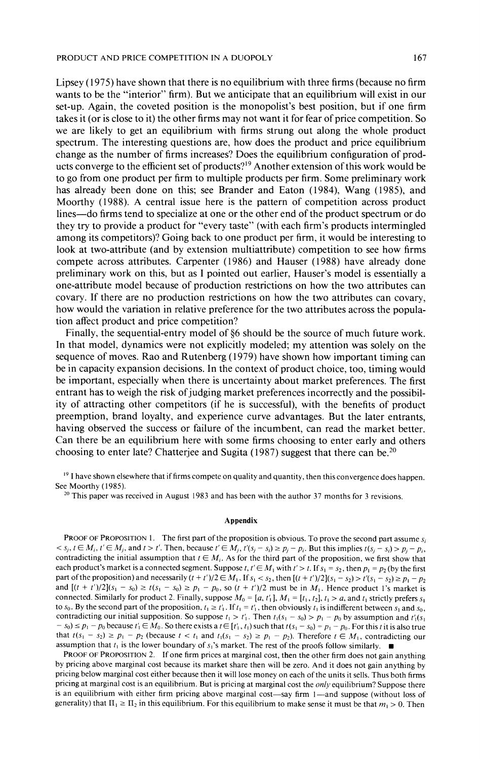**Lipsey (1975) have shown that there is no equilibrium with three firms (because no firm wants to be the "interior" firm). But we anticipate that an equilibrium will exist in our set-up. Again, the coveted position is the monopolist's best position, but if one firm takes it (or is close to it) the other firms may not want it for fear of price competition. So we are likely to get an equilibrium with firms strung out along the whole product spectrum. The interesting questions are, how does the product and price equilibrium change as the number of firms increases? Does the equilibrium configuration of products converge to the efficient set of products?'9 Another extension of this work would be to go from one product per firm to multiple products per firm. Some preliminary work has already been done on this; see Brander and Eaton (1984), Wang (1985), and Moorthy (1988). A central issue here is the pattern of competition across product lines-do firms tend to specialize at one or the other end of the product spectrum or do they try to provide a product for "every taste" (with each firm's products intermingled among its competitors)? Going back to one product per firm, it would be interesting to look at two-attribute (and by extension multiattribute) competition to see how firms compete across attributes. Carpenter (1986) and Hauser (1988) have already done preliminary work on this, but as I pointed out earlier, Hauser's model is essentially a one-attribute model because of production restrictions on how the two attributes can covary. If there are no production restrictions on how the two attributes can covary, how would the variation in relative preference for the two attributes across the population affect product and price competition?** 

Finally, the sequential-entry model of §6 should be the source of much future work. **In that model, dynamics were not explicitly modeled; my attention was solely on the sequence of moves. Rao and Rutenberg (1979) have shown how important timing can be in capacity expansion decisions. In the context of product choice, too, timing would be important, especially when there is uncertainty about market preferences. The first entrant has to weigh the risk of judging market preferences incorrectly and the possibility of attracting other competitors (if he is successful), with the benefits of product preemption, brand loyalty, and experience curve advantages. But the later entrants, having observed the success or failure of the incumbent, can read the market better. Can there be an equilibrium here with some firms choosing to enter early and others choosing to enter late? Chatterjee and Sugita (1987) suggest that there can be.20** 

<sup>19</sup> I have shown elsewhere that if firms compete on quality and quantity, then this convergence does happen. **See Moorthy (1985).** 

**<sup>20</sup>This paper was received in August 1983 and has been with the author 37 months for 3 revisions.** 

#### **Appendix**

**PROOF OF PROPOSITION 1.** The first part of the proposition is obvious. To prove the second part assume  $s_i$  $s_i, t \in M_i, t' \in M_j$ , and  $t > t'$ . Then, because  $t' \in M_j, t'(s_j - s_i) \ge p_j - p_i$ . But this implies  $t(s_j - s_j) > p_j - p_j$ , contradicting the initial assumption that  $t \in M_i$ . As for the third part of the proposition, we first show that **each product's market is a connected segment. Suppose t,**  $t' \in M_1$  **with**  $t' > t$ **. If**  $s_1 = s_2$ **, then**  $p_1 = p_2$  **(by the first part of the proposition) and necessarily**  $(t + t')/2 \in M_1$ **. If**  $s_1 < s_2$ **, then**  $[(t + t')/2](s_1 - s_2) > t'(s_1 - s_2) \ge p_1 - p_2$ **and**  $[(t + t')/2](s_1 - s_0) \ge t(s_1 - s_0) \ge p_1 - p_0$ , so  $(t + t')/2$  must be in  $M_1$ . Hence product 1's market is connected. Similarly for product 2. Finally, suppose  $M_0 = [a, t_1]$ ,  $M_1 = [t_1, t_2]$ ,  $t_1 > a$ , and  $t_1$  strictly prefers  $s_1$ to  $s_0$ . By the second part of the proposition,  $t_1 \ge t'_1$ . If  $t_1 = t'_1$ , then obviously  $t_1$  is indifferent between  $s_1$  and  $s_0$ , contradicting our initial supposition. So suppose  $t_1 > t'_1$ . Then  $t_1(s_1 - s_0) > p_1 - p_0$  by assumption and  $t'_1(s_1)$  $(s_0 - s_0) \le p_1 - p_0$  because  $t'_1 \in M_0$ . So there exists a  $t \in [t'_1, t_1)$  such that  $t(s_1 - s_0) = p_1 - p_0$ . For this t it is also true that  $t(s_1 - s_2) \ge p_1 - p_2$  (because  $t < t_1$  and  $t_1(s_1 - s_2) \ge p_1 - p_2$ ). Therefore  $t \in M_1$ , contradicting our **assumption that**  $t_1$  **is the lower boundary of**  $s_1$ **'s market. The rest of the proofs follow similarly.** 

**PROOF OF PROPOSITION 2. If one firm prices at marginal cost, then the other firm does not gain anything by pricing above marginal cost because its market share then will be zero. And it does not gain anything by pricing below marginal cost either because then it will lose money on each of the units it sells. Thus both firms pricing at marginal cost is an equilibrium. But is pricing at marginal cost the only equilibrium? Suppose there**  is an equilibrium with either firm pricing above marginal cost—say firm 1—and suppose (without loss of generality) that  $\Pi_1 \geq \Pi_2$  in this equilibrium. For this equilibrium to make sense it must be that  $m_1 > 0$ . Then